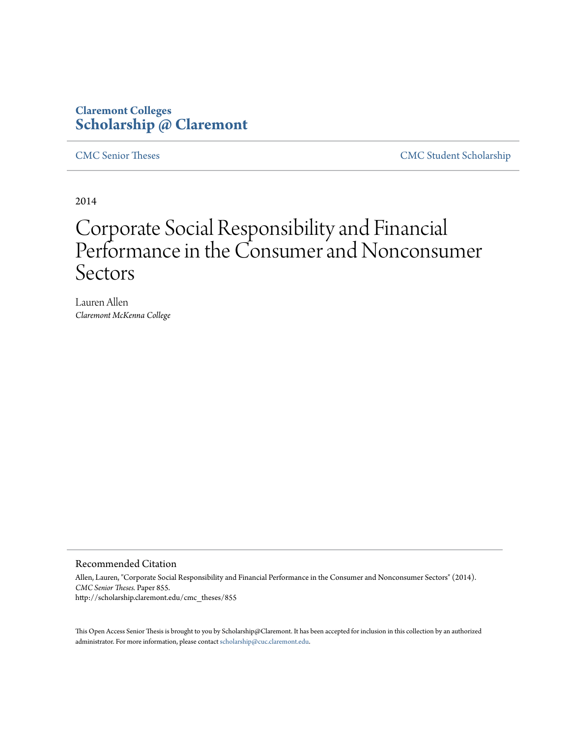# **Claremont Colleges [Scholarship @ Claremont](http://scholarship.claremont.edu)**

[CMC Senior Theses](http://scholarship.claremont.edu/cmc_theses) [CMC Student Scholarship](http://scholarship.claremont.edu/cmc_student)

2014

# Corporate Social Responsibility and Financial Performance in the Consumer and Nonconsumer Sectors

Lauren Allen *Claremont McKenna College*

#### Recommended Citation

Allen, Lauren, "Corporate Social Responsibility and Financial Performance in the Consumer and Nonconsumer Sectors" (2014). *CMC Senior Theses.* Paper 855. http://scholarship.claremont.edu/cmc\_theses/855

This Open Access Senior Thesis is brought to you by Scholarship@Claremont. It has been accepted for inclusion in this collection by an authorized administrator. For more information, please contact [scholarship@cuc.claremont.edu.](mailto:scholarship@cuc.claremont.edu)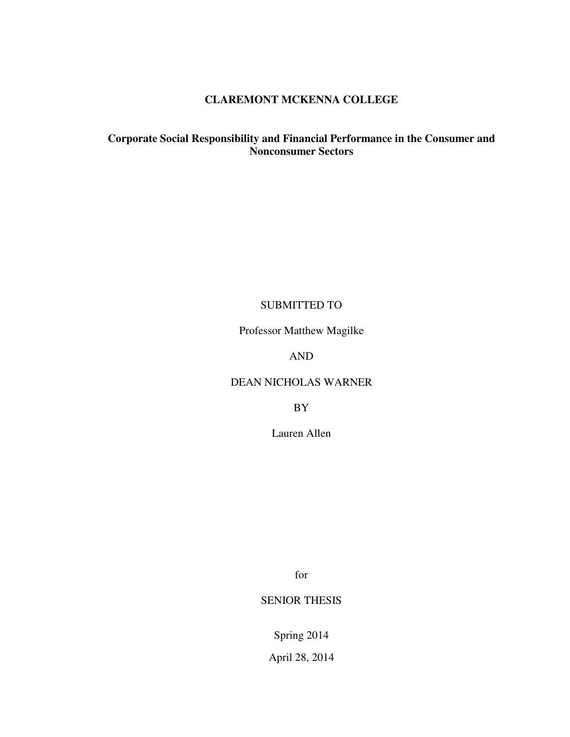# **CLAREMONT MCKENNA COLLEGE**

## **Corporate Social Responsibility and Financial Performance in the Consumer and Nonconsumer Sectors**

# SUBMITTED TO

Professor Matthew Magilke

# AND

## DEAN NICHOLAS WARNER

BY

Lauren Allen

for

# SENIOR THESIS

Spring 2014

April 28, 2014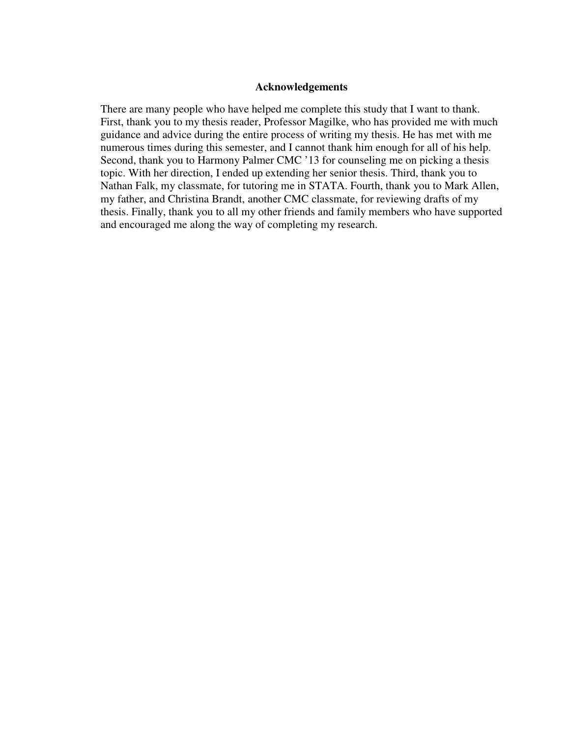#### **Acknowledgements**

There are many people who have helped me complete this study that I want to thank. First, thank you to my thesis reader, Professor Magilke, who has provided me with much guidance and advice during the entire process of writing my thesis. He has met with me numerous times during this semester, and I cannot thank him enough for all of his help. Second, thank you to Harmony Palmer CMC '13 for counseling me on picking a thesis topic. With her direction, I ended up extending her senior thesis. Third, thank you to Nathan Falk, my classmate, for tutoring me in STATA. Fourth, thank you to Mark Allen, my father, and Christina Brandt, another CMC classmate, for reviewing drafts of my thesis. Finally, thank you to all my other friends and family members who have supported and encouraged me along the way of completing my research.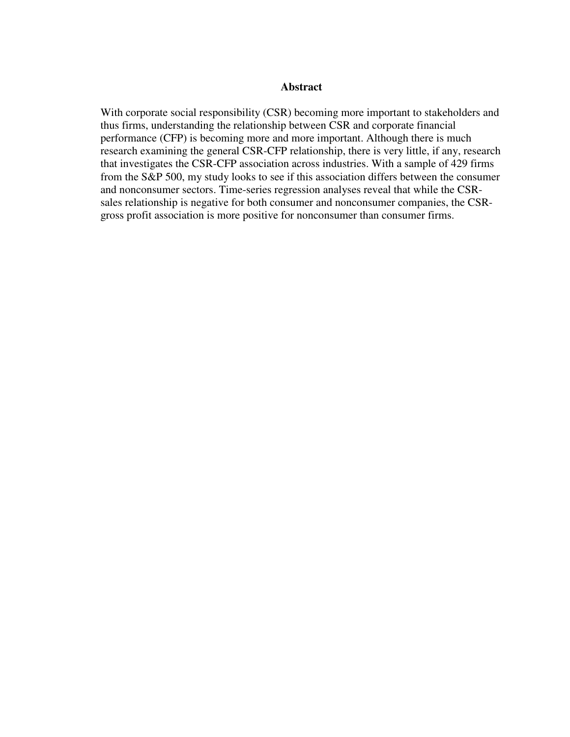#### **Abstract**

With corporate social responsibility (CSR) becoming more important to stakeholders and thus firms, understanding the relationship between CSR and corporate financial performance (CFP) is becoming more and more important. Although there is much research examining the general CSR-CFP relationship, there is very little, if any, research that investigates the CSR-CFP association across industries. With a sample of 429 firms from the S&P 500, my study looks to see if this association differs between the consumer and nonconsumer sectors. Time-series regression analyses reveal that while the CSRsales relationship is negative for both consumer and nonconsumer companies, the CSRgross profit association is more positive for nonconsumer than consumer firms.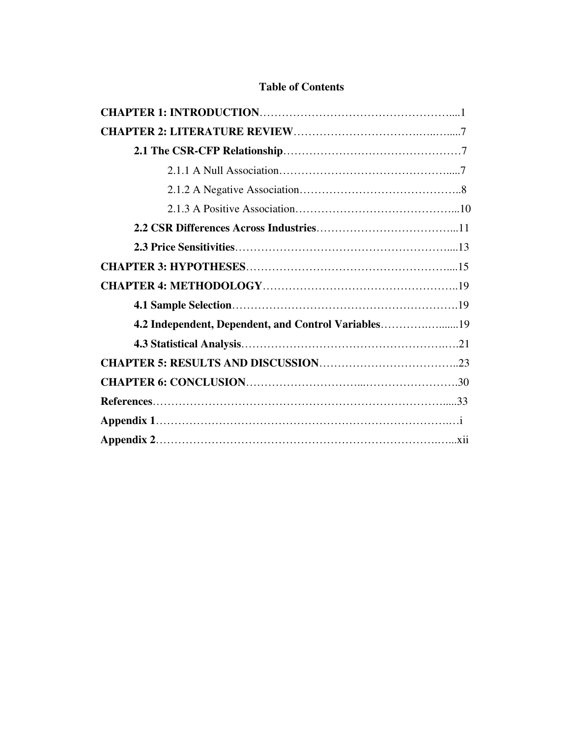# **Table of Contents**

| 4.2 Independent, Dependent, and Control Variables19 |  |
|-----------------------------------------------------|--|
|                                                     |  |
|                                                     |  |
|                                                     |  |
|                                                     |  |
|                                                     |  |
|                                                     |  |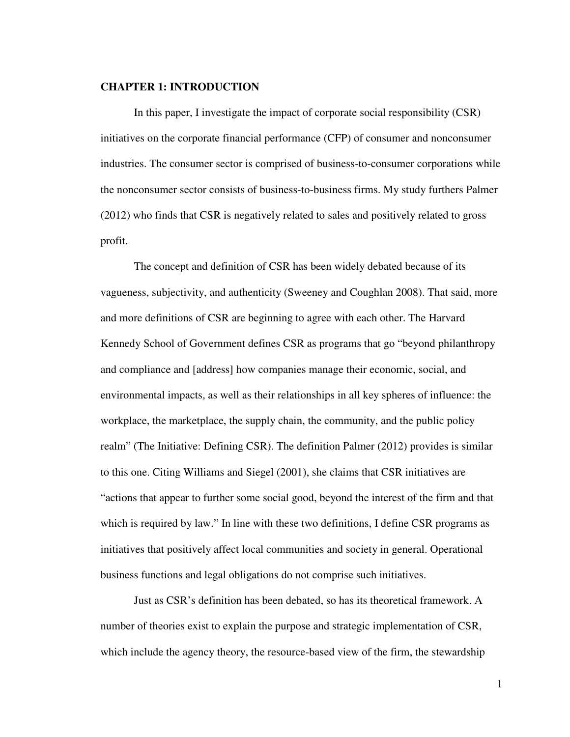#### **CHAPTER 1: INTRODUCTION**

In this paper, I investigate the impact of corporate social responsibility (CSR) initiatives on the corporate financial performance (CFP) of consumer and nonconsumer industries. The consumer sector is comprised of business-to-consumer corporations while the nonconsumer sector consists of business-to-business firms. My study furthers Palmer (2012) who finds that CSR is negatively related to sales and positively related to gross profit.

The concept and definition of CSR has been widely debated because of its vagueness, subjectivity, and authenticity (Sweeney and Coughlan 2008). That said, more and more definitions of CSR are beginning to agree with each other. The Harvard Kennedy School of Government defines CSR as programs that go "beyond philanthropy and compliance and [address] how companies manage their economic, social, and environmental impacts, as well as their relationships in all key spheres of influence: the workplace, the marketplace, the supply chain, the community, and the public policy realm" (The Initiative: Defining CSR). The definition Palmer (2012) provides is similar to this one. Citing Williams and Siegel (2001), she claims that CSR initiatives are "actions that appear to further some social good, beyond the interest of the firm and that which is required by law." In line with these two definitions, I define CSR programs as initiatives that positively affect local communities and society in general. Operational business functions and legal obligations do not comprise such initiatives.

Just as CSR's definition has been debated, so has its theoretical framework. A number of theories exist to explain the purpose and strategic implementation of CSR, which include the agency theory, the resource-based view of the firm, the stewardship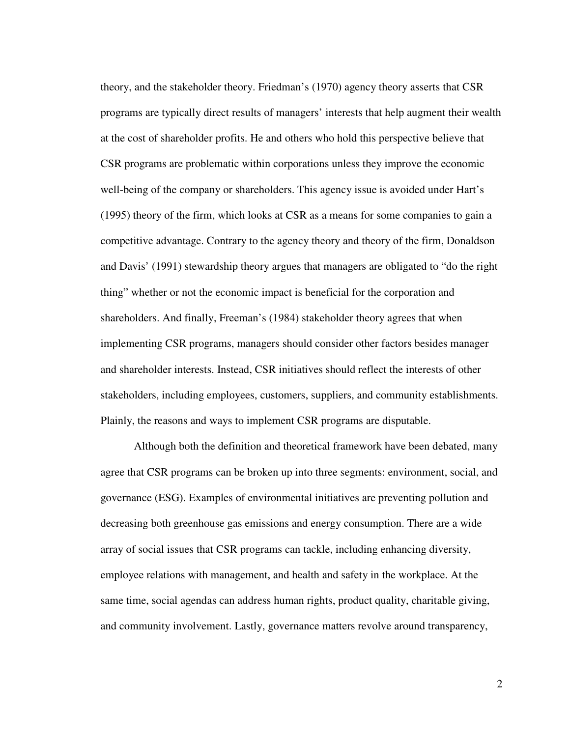theory, and the stakeholder theory. Friedman's (1970) agency theory asserts that CSR programs are typically direct results of managers' interests that help augment their wealth at the cost of shareholder profits. He and others who hold this perspective believe that CSR programs are problematic within corporations unless they improve the economic well-being of the company or shareholders. This agency issue is avoided under Hart's (1995) theory of the firm, which looks at CSR as a means for some companies to gain a competitive advantage. Contrary to the agency theory and theory of the firm, Donaldson and Davis' (1991) stewardship theory argues that managers are obligated to "do the right thing" whether or not the economic impact is beneficial for the corporation and shareholders. And finally, Freeman's (1984) stakeholder theory agrees that when implementing CSR programs, managers should consider other factors besides manager and shareholder interests. Instead, CSR initiatives should reflect the interests of other stakeholders, including employees, customers, suppliers, and community establishments. Plainly, the reasons and ways to implement CSR programs are disputable.

Although both the definition and theoretical framework have been debated, many agree that CSR programs can be broken up into three segments: environment, social, and governance (ESG). Examples of environmental initiatives are preventing pollution and decreasing both greenhouse gas emissions and energy consumption. There are a wide array of social issues that CSR programs can tackle, including enhancing diversity, employee relations with management, and health and safety in the workplace. At the same time, social agendas can address human rights, product quality, charitable giving, and community involvement. Lastly, governance matters revolve around transparency,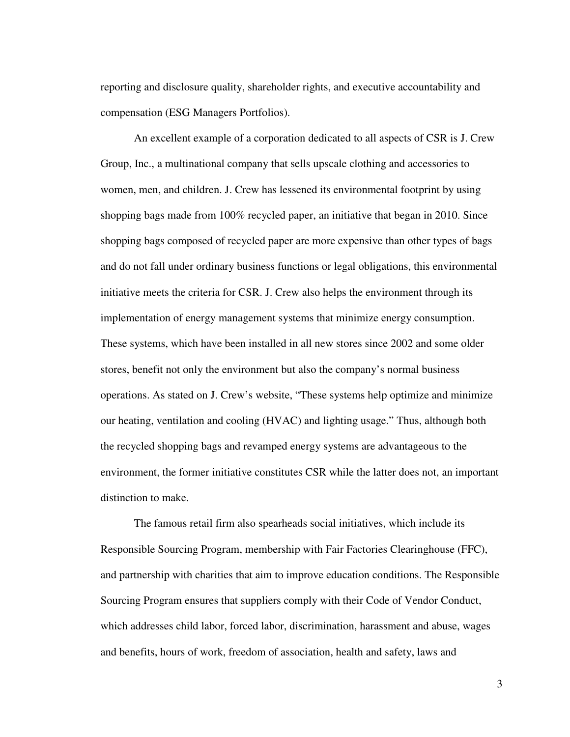reporting and disclosure quality, shareholder rights, and executive accountability and compensation (ESG Managers Portfolios).

An excellent example of a corporation dedicated to all aspects of CSR is J. Crew Group, Inc., a multinational company that sells upscale clothing and accessories to women, men, and children. J. Crew has lessened its environmental footprint by using shopping bags made from 100% recycled paper, an initiative that began in 2010. Since shopping bags composed of recycled paper are more expensive than other types of bags and do not fall under ordinary business functions or legal obligations, this environmental initiative meets the criteria for CSR. J. Crew also helps the environment through its implementation of energy management systems that minimize energy consumption. These systems, which have been installed in all new stores since 2002 and some older stores, benefit not only the environment but also the company's normal business operations. As stated on J. Crew's website, "These systems help optimize and minimize our heating, ventilation and cooling (HVAC) and lighting usage." Thus, although both the recycled shopping bags and revamped energy systems are advantageous to the environment, the former initiative constitutes CSR while the latter does not, an important distinction to make.

The famous retail firm also spearheads social initiatives, which include its Responsible Sourcing Program, membership with Fair Factories Clearinghouse (FFC), and partnership with charities that aim to improve education conditions. The Responsible Sourcing Program ensures that suppliers comply with their Code of Vendor Conduct, which addresses child labor, forced labor, discrimination, harassment and abuse, wages and benefits, hours of work, freedom of association, health and safety, laws and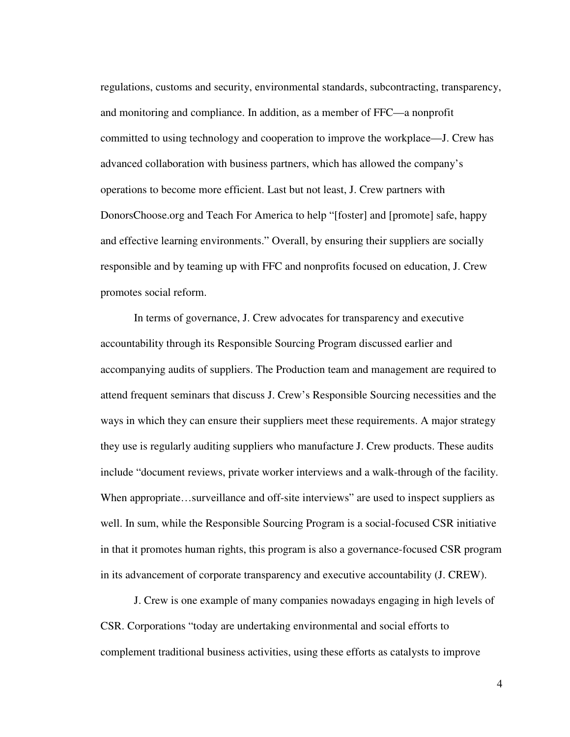regulations, customs and security, environmental standards, subcontracting, transparency, and monitoring and compliance. In addition, as a member of FFC—a nonprofit committed to using technology and cooperation to improve the workplace—J. Crew has advanced collaboration with business partners, which has allowed the company's operations to become more efficient. Last but not least, J. Crew partners with DonorsChoose.org and Teach For America to help "[foster] and [promote] safe, happy and effective learning environments." Overall, by ensuring their suppliers are socially responsible and by teaming up with FFC and nonprofits focused on education, J. Crew promotes social reform.

 In terms of governance, J. Crew advocates for transparency and executive accountability through its Responsible Sourcing Program discussed earlier and accompanying audits of suppliers. The Production team and management are required to attend frequent seminars that discuss J. Crew's Responsible Sourcing necessities and the ways in which they can ensure their suppliers meet these requirements. A major strategy they use is regularly auditing suppliers who manufacture J. Crew products. These audits include "document reviews, private worker interviews and a walk-through of the facility. When appropriate...surveillance and off-site interviews" are used to inspect suppliers as well. In sum, while the Responsible Sourcing Program is a social-focused CSR initiative in that it promotes human rights, this program is also a governance-focused CSR program in its advancement of corporate transparency and executive accountability (J. CREW).

J. Crew is one example of many companies nowadays engaging in high levels of CSR. Corporations "today are undertaking environmental and social efforts to complement traditional business activities, using these efforts as catalysts to improve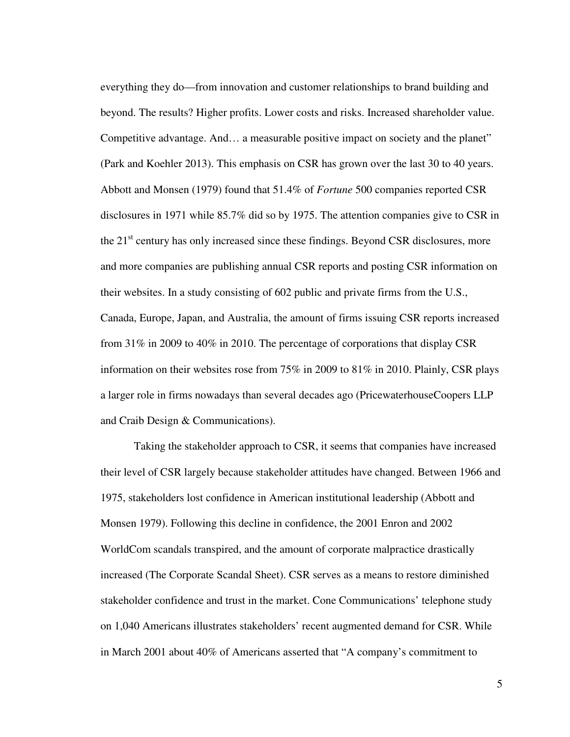everything they do—from innovation and customer relationships to brand building and beyond. The results? Higher profits. Lower costs and risks. Increased shareholder value. Competitive advantage. And… a measurable positive impact on society and the planet" (Park and Koehler 2013). This emphasis on CSR has grown over the last 30 to 40 years. Abbott and Monsen (1979) found that 51.4% of *Fortune* 500 companies reported CSR disclosures in 1971 while 85.7% did so by 1975. The attention companies give to CSR in the  $21<sup>st</sup>$  century has only increased since these findings. Beyond CSR disclosures, more and more companies are publishing annual CSR reports and posting CSR information on their websites. In a study consisting of 602 public and private firms from the U.S., Canada, Europe, Japan, and Australia, the amount of firms issuing CSR reports increased from 31% in 2009 to 40% in 2010. The percentage of corporations that display CSR information on their websites rose from 75% in 2009 to 81% in 2010. Plainly, CSR plays a larger role in firms nowadays than several decades ago (PricewaterhouseCoopers LLP and Craib Design & Communications).

Taking the stakeholder approach to CSR, it seems that companies have increased their level of CSR largely because stakeholder attitudes have changed. Between 1966 and 1975, stakeholders lost confidence in American institutional leadership (Abbott and Monsen 1979). Following this decline in confidence, the 2001 Enron and 2002 WorldCom scandals transpired, and the amount of corporate malpractice drastically increased (The Corporate Scandal Sheet). CSR serves as a means to restore diminished stakeholder confidence and trust in the market. Cone Communications' telephone study on 1,040 Americans illustrates stakeholders' recent augmented demand for CSR. While in March 2001 about 40% of Americans asserted that "A company's commitment to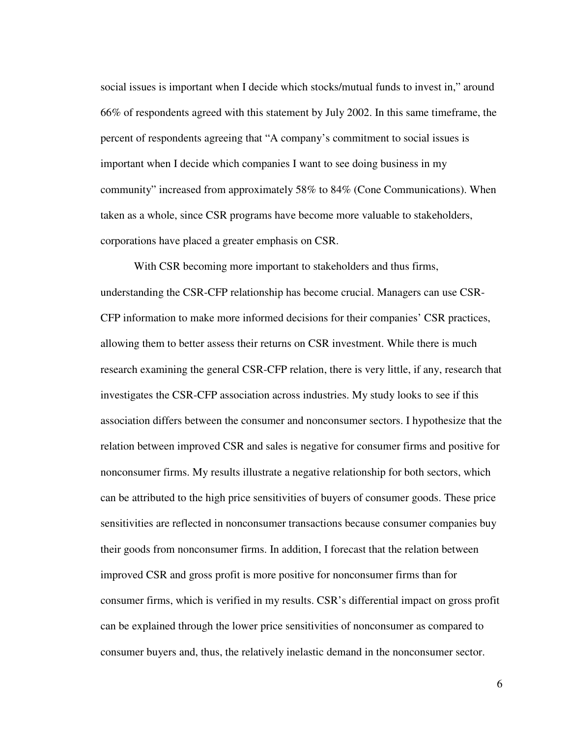social issues is important when I decide which stocks/mutual funds to invest in," around 66% of respondents agreed with this statement by July 2002. In this same timeframe, the percent of respondents agreeing that "A company's commitment to social issues is important when I decide which companies I want to see doing business in my community" increased from approximately 58% to 84% (Cone Communications). When taken as a whole, since CSR programs have become more valuable to stakeholders, corporations have placed a greater emphasis on CSR.

With CSR becoming more important to stakeholders and thus firms, understanding the CSR-CFP relationship has become crucial. Managers can use CSR-CFP information to make more informed decisions for their companies' CSR practices, allowing them to better assess their returns on CSR investment. While there is much research examining the general CSR-CFP relation, there is very little, if any, research that investigates the CSR-CFP association across industries. My study looks to see if this association differs between the consumer and nonconsumer sectors. I hypothesize that the relation between improved CSR and sales is negative for consumer firms and positive for nonconsumer firms. My results illustrate a negative relationship for both sectors, which can be attributed to the high price sensitivities of buyers of consumer goods. These price sensitivities are reflected in nonconsumer transactions because consumer companies buy their goods from nonconsumer firms. In addition, I forecast that the relation between improved CSR and gross profit is more positive for nonconsumer firms than for consumer firms, which is verified in my results. CSR's differential impact on gross profit can be explained through the lower price sensitivities of nonconsumer as compared to consumer buyers and, thus, the relatively inelastic demand in the nonconsumer sector.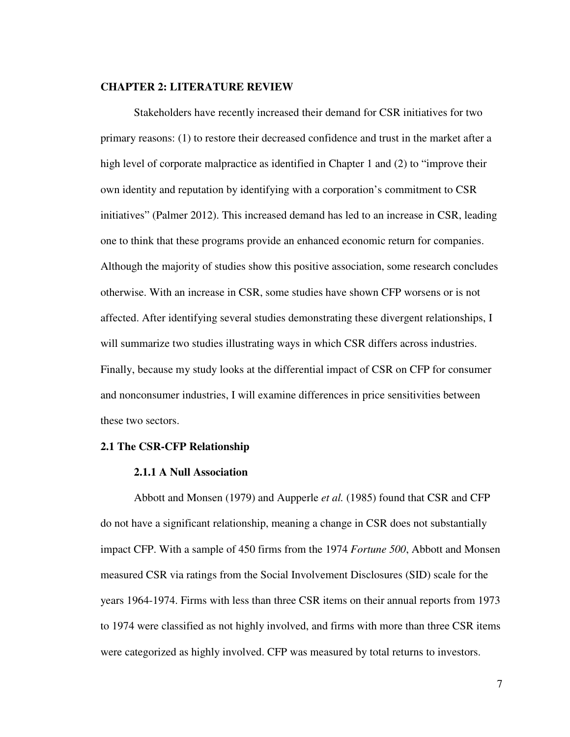#### **CHAPTER 2: LITERATURE REVIEW**

Stakeholders have recently increased their demand for CSR initiatives for two primary reasons: (1) to restore their decreased confidence and trust in the market after a high level of corporate malpractice as identified in Chapter 1 and (2) to "improve their own identity and reputation by identifying with a corporation's commitment to CSR initiatives" (Palmer 2012). This increased demand has led to an increase in CSR, leading one to think that these programs provide an enhanced economic return for companies. Although the majority of studies show this positive association, some research concludes otherwise. With an increase in CSR, some studies have shown CFP worsens or is not affected. After identifying several studies demonstrating these divergent relationships, I will summarize two studies illustrating ways in which CSR differs across industries. Finally, because my study looks at the differential impact of CSR on CFP for consumer and nonconsumer industries, I will examine differences in price sensitivities between these two sectors.

#### **2.1 The CSR-CFP Relationship**

#### **2.1.1 A Null Association**

 Abbott and Monsen (1979) and Aupperle *et al.* (1985) found that CSR and CFP do not have a significant relationship, meaning a change in CSR does not substantially impact CFP. With a sample of 450 firms from the 1974 *Fortune 500*, Abbott and Monsen measured CSR via ratings from the Social Involvement Disclosures (SID) scale for the years 1964-1974. Firms with less than three CSR items on their annual reports from 1973 to 1974 were classified as not highly involved, and firms with more than three CSR items were categorized as highly involved. CFP was measured by total returns to investors.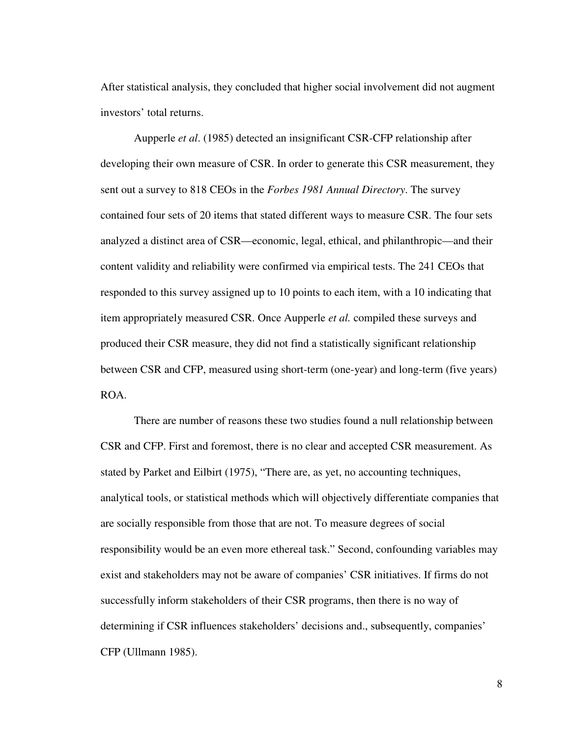After statistical analysis, they concluded that higher social involvement did not augment investors' total returns.

 Aupperle *et al*. (1985) detected an insignificant CSR-CFP relationship after developing their own measure of CSR. In order to generate this CSR measurement, they sent out a survey to 818 CEOs in the *Forbes 1981 Annual Directory*. The survey contained four sets of 20 items that stated different ways to measure CSR. The four sets analyzed a distinct area of CSR—economic, legal, ethical, and philanthropic—and their content validity and reliability were confirmed via empirical tests. The 241 CEOs that responded to this survey assigned up to 10 points to each item, with a 10 indicating that item appropriately measured CSR. Once Aupperle *et al.* compiled these surveys and produced their CSR measure, they did not find a statistically significant relationship between CSR and CFP, measured using short-term (one-year) and long-term (five years) ROA.

There are number of reasons these two studies found a null relationship between CSR and CFP. First and foremost, there is no clear and accepted CSR measurement. As stated by Parket and Eilbirt (1975), "There are, as yet, no accounting techniques, analytical tools, or statistical methods which will objectively differentiate companies that are socially responsible from those that are not. To measure degrees of social responsibility would be an even more ethereal task." Second, confounding variables may exist and stakeholders may not be aware of companies' CSR initiatives. If firms do not successfully inform stakeholders of their CSR programs, then there is no way of determining if CSR influences stakeholders' decisions and., subsequently, companies' CFP (Ullmann 1985).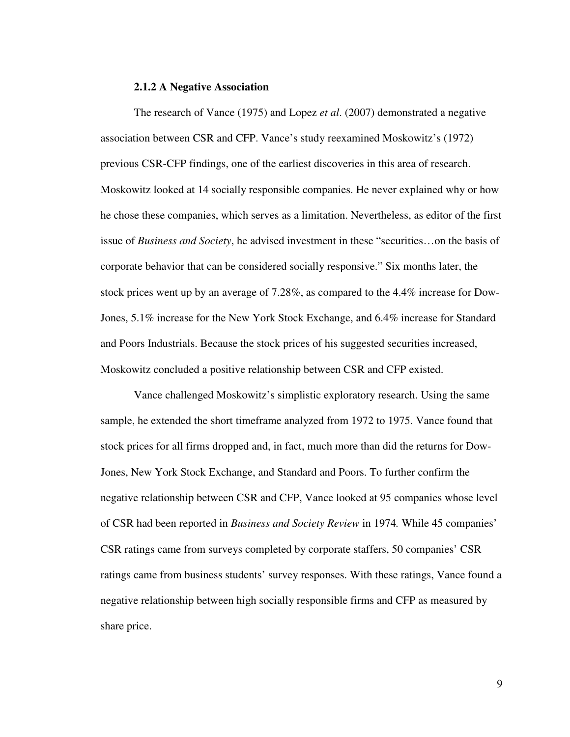#### **2.1.2 A Negative Association**

The research of Vance (1975) and Lopez *et al*. (2007) demonstrated a negative association between CSR and CFP. Vance's study reexamined Moskowitz's (1972) previous CSR-CFP findings, one of the earliest discoveries in this area of research. Moskowitz looked at 14 socially responsible companies. He never explained why or how he chose these companies, which serves as a limitation. Nevertheless, as editor of the first issue of *Business and Society*, he advised investment in these "securities…on the basis of corporate behavior that can be considered socially responsive." Six months later, the stock prices went up by an average of 7.28%, as compared to the 4.4% increase for Dow-Jones, 5.1% increase for the New York Stock Exchange, and 6.4% increase for Standard and Poors Industrials. Because the stock prices of his suggested securities increased, Moskowitz concluded a positive relationship between CSR and CFP existed.

 Vance challenged Moskowitz's simplistic exploratory research. Using the same sample, he extended the short timeframe analyzed from 1972 to 1975. Vance found that stock prices for all firms dropped and, in fact, much more than did the returns for Dow-Jones, New York Stock Exchange, and Standard and Poors. To further confirm the negative relationship between CSR and CFP, Vance looked at 95 companies whose level of CSR had been reported in *Business and Society Review* in 1974*.* While 45 companies' CSR ratings came from surveys completed by corporate staffers, 50 companies' CSR ratings came from business students' survey responses. With these ratings, Vance found a negative relationship between high socially responsible firms and CFP as measured by share price.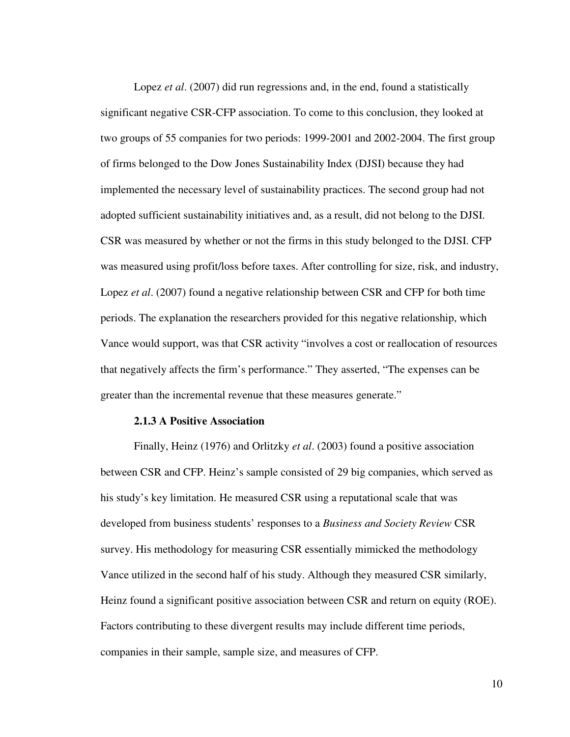Lopez *et al.* (2007) did run regressions and, in the end, found a statistically significant negative CSR-CFP association. To come to this conclusion, they looked at two groups of 55 companies for two periods: 1999-2001 and 2002-2004. The first group of firms belonged to the Dow Jones Sustainability Index (DJSI) because they had implemented the necessary level of sustainability practices. The second group had not adopted sufficient sustainability initiatives and, as a result, did not belong to the DJSI. CSR was measured by whether or not the firms in this study belonged to the DJSI. CFP was measured using profit/loss before taxes. After controlling for size, risk, and industry, Lopez *et al.* (2007) found a negative relationship between CSR and CFP for both time periods. The explanation the researchers provided for this negative relationship, which Vance would support, was that CSR activity "involves a cost or reallocation of resources that negatively affects the firm's performance." They asserted, "The expenses can be greater than the incremental revenue that these measures generate."

#### **2.1.3 A Positive Association**

 Finally, Heinz (1976) and Orlitzky *et al*. (2003) found a positive association between CSR and CFP. Heinz's sample consisted of 29 big companies, which served as his study's key limitation. He measured CSR using a reputational scale that was developed from business students' responses to a *Business and Society Review* CSR survey. His methodology for measuring CSR essentially mimicked the methodology Vance utilized in the second half of his study. Although they measured CSR similarly, Heinz found a significant positive association between CSR and return on equity (ROE). Factors contributing to these divergent results may include different time periods, companies in their sample, sample size, and measures of CFP.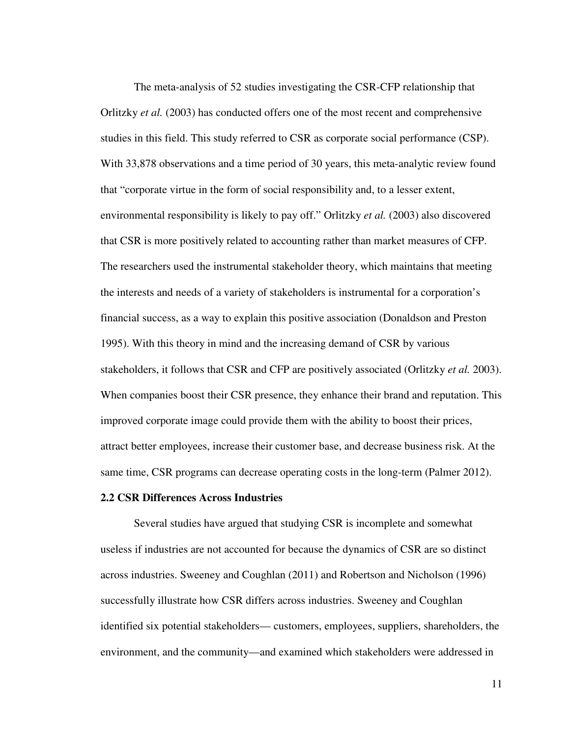The meta-analysis of 52 studies investigating the CSR-CFP relationship that Orlitzky *et al.* (2003) has conducted offers one of the most recent and comprehensive studies in this field. This study referred to CSR as corporate social performance (CSP). With 33,878 observations and a time period of 30 years, this meta-analytic review found that "corporate virtue in the form of social responsibility and, to a lesser extent, environmental responsibility is likely to pay off." Orlitzky *et al.* (2003) also discovered that CSR is more positively related to accounting rather than market measures of CFP. The researchers used the instrumental stakeholder theory, which maintains that meeting the interests and needs of a variety of stakeholders is instrumental for a corporation's financial success, as a way to explain this positive association (Donaldson and Preston 1995). With this theory in mind and the increasing demand of CSR by various stakeholders, it follows that CSR and CFP are positively associated (Orlitzky *et al.* 2003). When companies boost their CSR presence, they enhance their brand and reputation. This improved corporate image could provide them with the ability to boost their prices, attract better employees, increase their customer base, and decrease business risk. At the same time, CSR programs can decrease operating costs in the long-term (Palmer 2012).

#### **2.2 CSR Differences Across Industries**

Several studies have argued that studying CSR is incomplete and somewhat useless if industries are not accounted for because the dynamics of CSR are so distinct across industries. Sweeney and Coughlan (2011) and Robertson and Nicholson (1996) successfully illustrate how CSR differs across industries. Sweeney and Coughlan identified six potential stakeholders— customers, employees, suppliers, shareholders, the environment, and the community—and examined which stakeholders were addressed in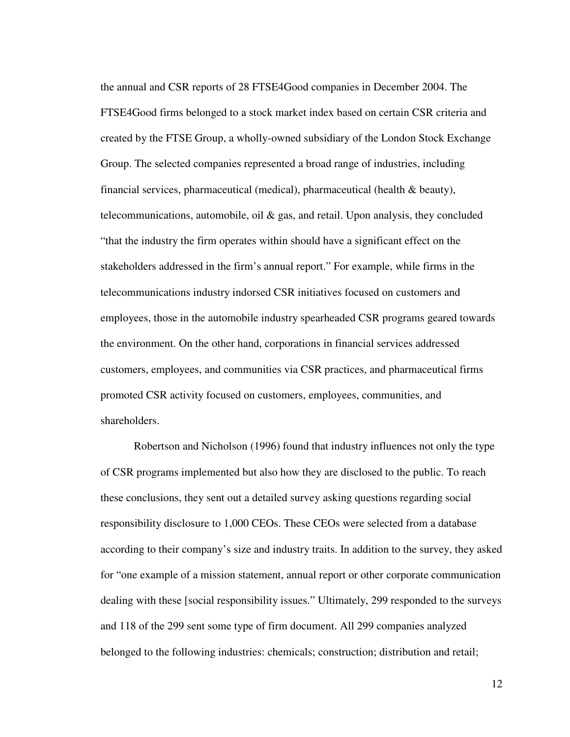the annual and CSR reports of 28 FTSE4Good companies in December 2004. The FTSE4Good firms belonged to a stock market index based on certain CSR criteria and created by the FTSE Group, a wholly-owned subsidiary of the London Stock Exchange Group. The selected companies represented a broad range of industries, including financial services, pharmaceutical (medical), pharmaceutical (health & beauty), telecommunications, automobile, oil  $\&$  gas, and retail. Upon analysis, they concluded "that the industry the firm operates within should have a significant effect on the stakeholders addressed in the firm's annual report." For example, while firms in the telecommunications industry indorsed CSR initiatives focused on customers and employees, those in the automobile industry spearheaded CSR programs geared towards the environment. On the other hand, corporations in financial services addressed customers, employees, and communities via CSR practices, and pharmaceutical firms promoted CSR activity focused on customers, employees, communities, and shareholders.

Robertson and Nicholson (1996) found that industry influences not only the type of CSR programs implemented but also how they are disclosed to the public. To reach these conclusions, they sent out a detailed survey asking questions regarding social responsibility disclosure to 1,000 CEOs. These CEOs were selected from a database according to their company's size and industry traits. In addition to the survey, they asked for "one example of a mission statement, annual report or other corporate communication dealing with these [social responsibility issues." Ultimately, 299 responded to the surveys and 118 of the 299 sent some type of firm document. All 299 companies analyzed belonged to the following industries: chemicals; construction; distribution and retail;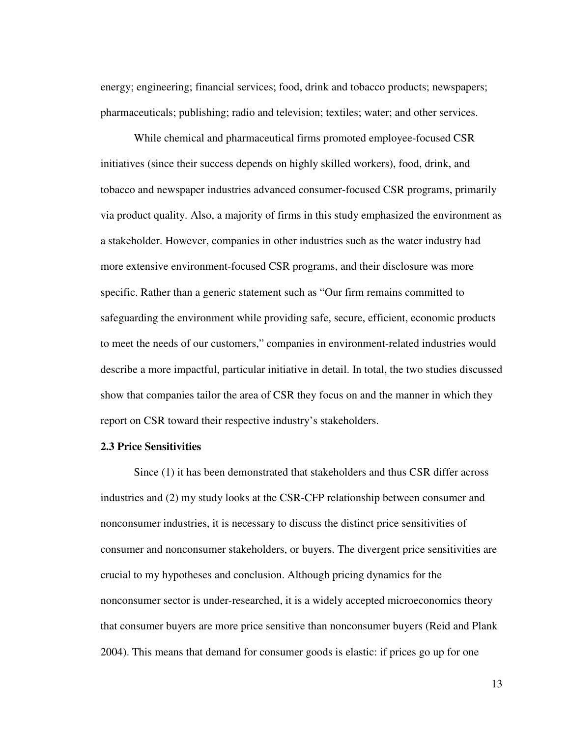energy; engineering; financial services; food, drink and tobacco products; newspapers; pharmaceuticals; publishing; radio and television; textiles; water; and other services.

While chemical and pharmaceutical firms promoted employee-focused CSR initiatives (since their success depends on highly skilled workers), food, drink, and tobacco and newspaper industries advanced consumer-focused CSR programs, primarily via product quality. Also, a majority of firms in this study emphasized the environment as a stakeholder. However, companies in other industries such as the water industry had more extensive environment-focused CSR programs, and their disclosure was more specific. Rather than a generic statement such as "Our firm remains committed to safeguarding the environment while providing safe, secure, efficient, economic products to meet the needs of our customers," companies in environment-related industries would describe a more impactful, particular initiative in detail. In total, the two studies discussed show that companies tailor the area of CSR they focus on and the manner in which they report on CSR toward their respective industry's stakeholders.

#### **2.3 Price Sensitivities**

Since (1) it has been demonstrated that stakeholders and thus CSR differ across industries and (2) my study looks at the CSR-CFP relationship between consumer and nonconsumer industries, it is necessary to discuss the distinct price sensitivities of consumer and nonconsumer stakeholders, or buyers. The divergent price sensitivities are crucial to my hypotheses and conclusion. Although pricing dynamics for the nonconsumer sector is under-researched, it is a widely accepted microeconomics theory that consumer buyers are more price sensitive than nonconsumer buyers (Reid and Plank 2004). This means that demand for consumer goods is elastic: if prices go up for one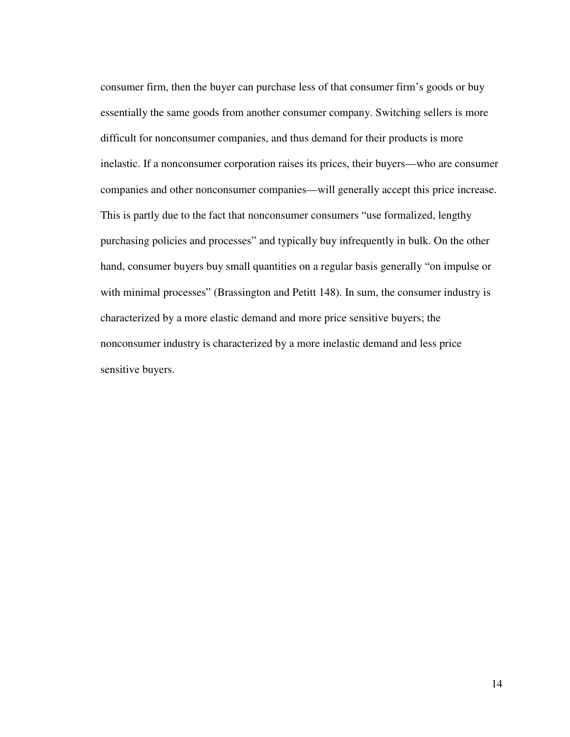consumer firm, then the buyer can purchase less of that consumer firm's goods or buy essentially the same goods from another consumer company. Switching sellers is more difficult for nonconsumer companies, and thus demand for their products is more inelastic. If a nonconsumer corporation raises its prices, their buyers—who are consumer companies and other nonconsumer companies—will generally accept this price increase. This is partly due to the fact that nonconsumer consumers "use formalized, lengthy purchasing policies and processes" and typically buy infrequently in bulk. On the other hand, consumer buyers buy small quantities on a regular basis generally "on impulse or with minimal processes" (Brassington and Petitt 148). In sum, the consumer industry is characterized by a more elastic demand and more price sensitive buyers; the nonconsumer industry is characterized by a more inelastic demand and less price sensitive buyers.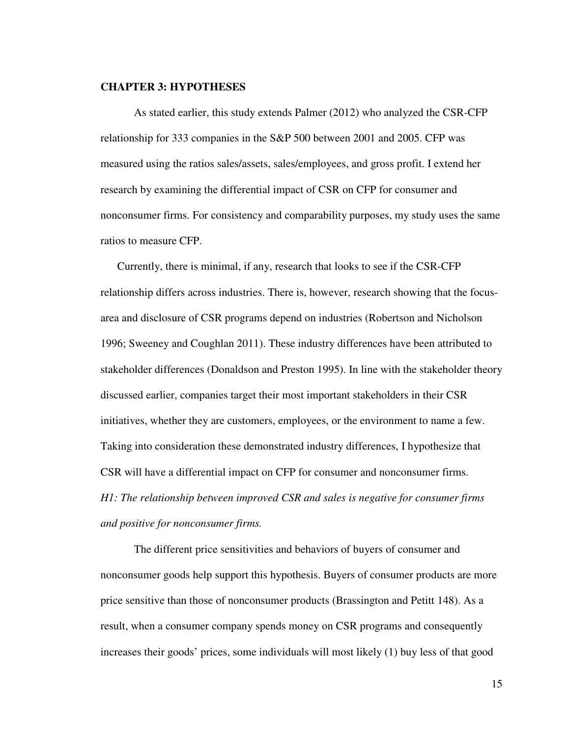#### **CHAPTER 3: HYPOTHESES**

As stated earlier, this study extends Palmer (2012) who analyzed the CSR-CFP relationship for 333 companies in the S&P 500 between 2001 and 2005. CFP was measured using the ratios sales/assets, sales/employees, and gross profit. I extend her research by examining the differential impact of CSR on CFP for consumer and nonconsumer firms. For consistency and comparability purposes, my study uses the same ratios to measure CFP.

Currently, there is minimal, if any, research that looks to see if the CSR-CFP relationship differs across industries. There is, however, research showing that the focusarea and disclosure of CSR programs depend on industries (Robertson and Nicholson 1996; Sweeney and Coughlan 2011). These industry differences have been attributed to stakeholder differences (Donaldson and Preston 1995). In line with the stakeholder theory discussed earlier, companies target their most important stakeholders in their CSR initiatives, whether they are customers, employees, or the environment to name a few. Taking into consideration these demonstrated industry differences, I hypothesize that CSR will have a differential impact on CFP for consumer and nonconsumer firms. *H1: The relationship between improved CSR and sales is negative for consumer firms and positive for nonconsumer firms.* 

 The different price sensitivities and behaviors of buyers of consumer and nonconsumer goods help support this hypothesis. Buyers of consumer products are more price sensitive than those of nonconsumer products (Brassington and Petitt 148). As a result, when a consumer company spends money on CSR programs and consequently increases their goods' prices, some individuals will most likely (1) buy less of that good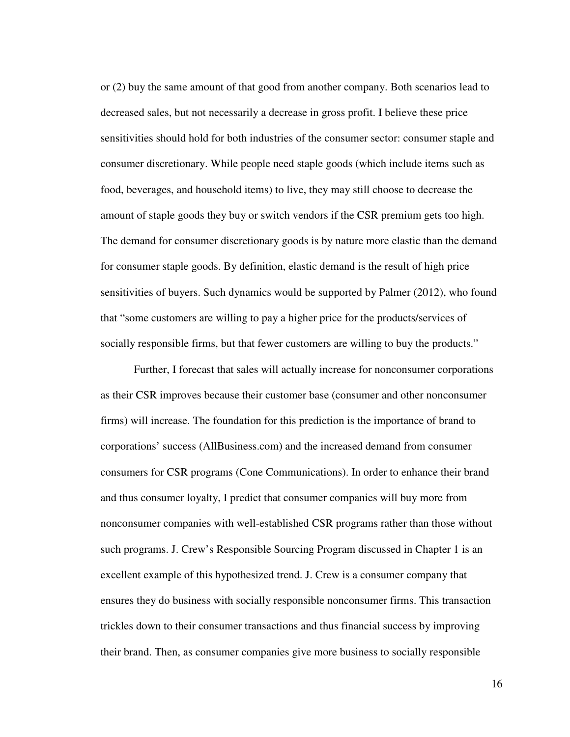or (2) buy the same amount of that good from another company. Both scenarios lead to decreased sales, but not necessarily a decrease in gross profit. I believe these price sensitivities should hold for both industries of the consumer sector: consumer staple and consumer discretionary. While people need staple goods (which include items such as food, beverages, and household items) to live, they may still choose to decrease the amount of staple goods they buy or switch vendors if the CSR premium gets too high. The demand for consumer discretionary goods is by nature more elastic than the demand for consumer staple goods. By definition, elastic demand is the result of high price sensitivities of buyers. Such dynamics would be supported by Palmer (2012), who found that "some customers are willing to pay a higher price for the products/services of socially responsible firms, but that fewer customers are willing to buy the products."

Further, I forecast that sales will actually increase for nonconsumer corporations as their CSR improves because their customer base (consumer and other nonconsumer firms) will increase. The foundation for this prediction is the importance of brand to corporations' success (AllBusiness.com) and the increased demand from consumer consumers for CSR programs (Cone Communications). In order to enhance their brand and thus consumer loyalty, I predict that consumer companies will buy more from nonconsumer companies with well-established CSR programs rather than those without such programs. J. Crew's Responsible Sourcing Program discussed in Chapter 1 is an excellent example of this hypothesized trend. J. Crew is a consumer company that ensures they do business with socially responsible nonconsumer firms. This transaction trickles down to their consumer transactions and thus financial success by improving their brand. Then, as consumer companies give more business to socially responsible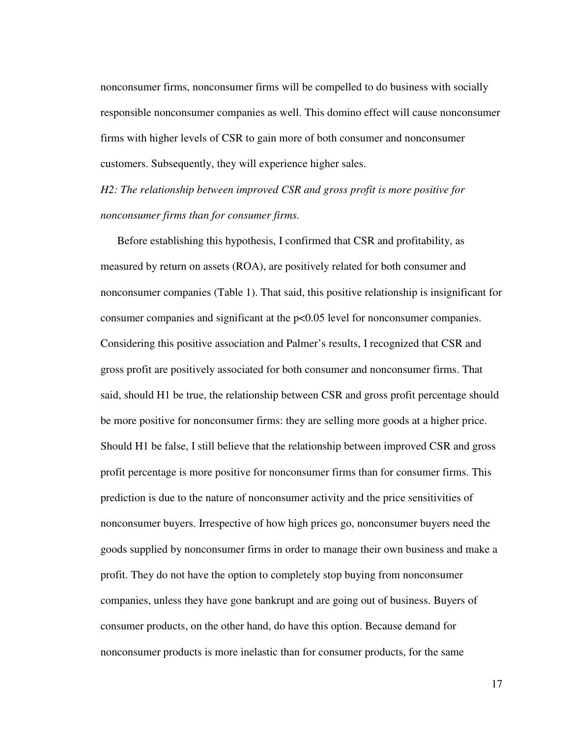nonconsumer firms, nonconsumer firms will be compelled to do business with socially responsible nonconsumer companies as well. This domino effect will cause nonconsumer firms with higher levels of CSR to gain more of both consumer and nonconsumer customers. Subsequently, they will experience higher sales.

*H2: The relationship between improved CSR and gross profit is more positive for nonconsumer firms than for consumer firms.* 

Before establishing this hypothesis, I confirmed that CSR and profitability, as measured by return on assets (ROA), are positively related for both consumer and nonconsumer companies (Table 1). That said, this positive relationship is insignificant for consumer companies and significant at the p<0.05 level for nonconsumer companies. Considering this positive association and Palmer's results, I recognized that CSR and gross profit are positively associated for both consumer and nonconsumer firms. That said, should H1 be true, the relationship between CSR and gross profit percentage should be more positive for nonconsumer firms: they are selling more goods at a higher price. Should H1 be false, I still believe that the relationship between improved CSR and gross profit percentage is more positive for nonconsumer firms than for consumer firms. This prediction is due to the nature of nonconsumer activity and the price sensitivities of nonconsumer buyers. Irrespective of how high prices go, nonconsumer buyers need the goods supplied by nonconsumer firms in order to manage their own business and make a profit. They do not have the option to completely stop buying from nonconsumer companies, unless they have gone bankrupt and are going out of business. Buyers of consumer products, on the other hand, do have this option. Because demand for nonconsumer products is more inelastic than for consumer products, for the same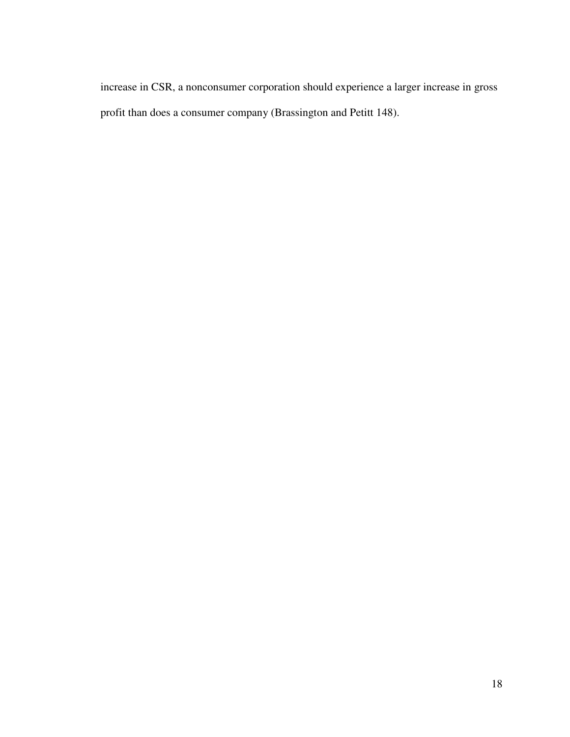increase in CSR, a nonconsumer corporation should experience a larger increase in gross profit than does a consumer company (Brassington and Petitt 148).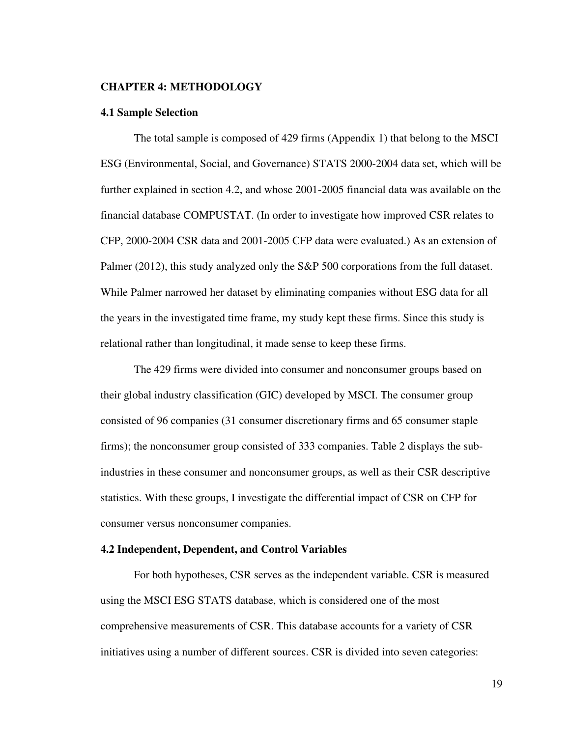#### **CHAPTER 4: METHODOLOGY**

#### **4.1 Sample Selection**

The total sample is composed of 429 firms (Appendix 1) that belong to the MSCI ESG (Environmental, Social, and Governance) STATS 2000-2004 data set, which will be further explained in section 4.2, and whose 2001-2005 financial data was available on the financial database COMPUSTAT. (In order to investigate how improved CSR relates to CFP, 2000-2004 CSR data and 2001-2005 CFP data were evaluated.) As an extension of Palmer (2012), this study analyzed only the S&P 500 corporations from the full dataset. While Palmer narrowed her dataset by eliminating companies without ESG data for all the years in the investigated time frame, my study kept these firms. Since this study is relational rather than longitudinal, it made sense to keep these firms.

The 429 firms were divided into consumer and nonconsumer groups based on their global industry classification (GIC) developed by MSCI. The consumer group consisted of 96 companies (31 consumer discretionary firms and 65 consumer staple firms); the nonconsumer group consisted of 333 companies. Table 2 displays the subindustries in these consumer and nonconsumer groups, as well as their CSR descriptive statistics. With these groups, I investigate the differential impact of CSR on CFP for consumer versus nonconsumer companies.

#### **4.2 Independent, Dependent, and Control Variables**

For both hypotheses, CSR serves as the independent variable. CSR is measured using the MSCI ESG STATS database, which is considered one of the most comprehensive measurements of CSR. This database accounts for a variety of CSR initiatives using a number of different sources. CSR is divided into seven categories: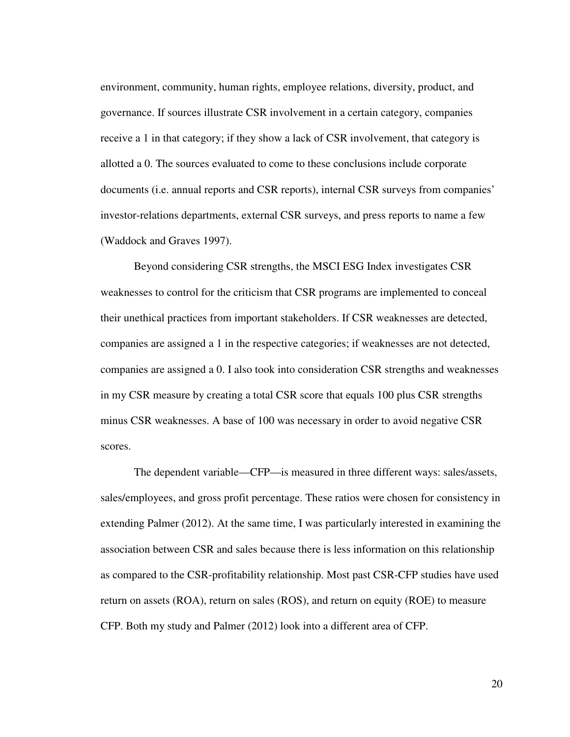environment, community, human rights, employee relations, diversity, product, and governance. If sources illustrate CSR involvement in a certain category, companies receive a 1 in that category; if they show a lack of CSR involvement, that category is allotted a 0. The sources evaluated to come to these conclusions include corporate documents (i.e. annual reports and CSR reports), internal CSR surveys from companies' investor-relations departments, external CSR surveys, and press reports to name a few (Waddock and Graves 1997).

Beyond considering CSR strengths, the MSCI ESG Index investigates CSR weaknesses to control for the criticism that CSR programs are implemented to conceal their unethical practices from important stakeholders. If CSR weaknesses are detected, companies are assigned a 1 in the respective categories; if weaknesses are not detected, companies are assigned a 0. I also took into consideration CSR strengths and weaknesses in my CSR measure by creating a total CSR score that equals 100 plus CSR strengths minus CSR weaknesses. A base of 100 was necessary in order to avoid negative CSR scores.

The dependent variable—CFP—is measured in three different ways: sales/assets, sales/employees, and gross profit percentage. These ratios were chosen for consistency in extending Palmer (2012). At the same time, I was particularly interested in examining the association between CSR and sales because there is less information on this relationship as compared to the CSR-profitability relationship. Most past CSR-CFP studies have used return on assets (ROA), return on sales (ROS), and return on equity (ROE) to measure CFP. Both my study and Palmer (2012) look into a different area of CFP.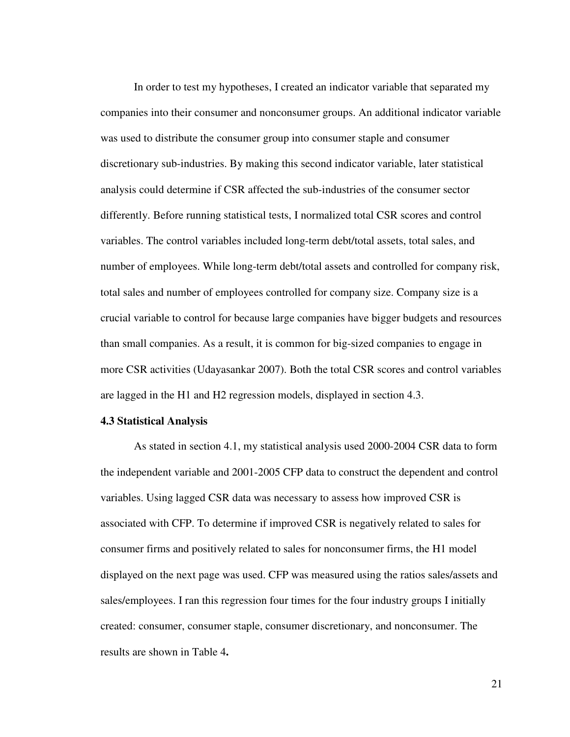In order to test my hypotheses, I created an indicator variable that separated my companies into their consumer and nonconsumer groups. An additional indicator variable was used to distribute the consumer group into consumer staple and consumer discretionary sub-industries. By making this second indicator variable, later statistical analysis could determine if CSR affected the sub-industries of the consumer sector differently. Before running statistical tests, I normalized total CSR scores and control variables. The control variables included long-term debt/total assets, total sales, and number of employees. While long-term debt/total assets and controlled for company risk, total sales and number of employees controlled for company size. Company size is a crucial variable to control for because large companies have bigger budgets and resources than small companies. As a result, it is common for big-sized companies to engage in more CSR activities (Udayasankar 2007). Both the total CSR scores and control variables are lagged in the H1 and H2 regression models, displayed in section 4.3.

#### **4.3 Statistical Analysis**

As stated in section 4.1, my statistical analysis used 2000-2004 CSR data to form the independent variable and 2001-2005 CFP data to construct the dependent and control variables. Using lagged CSR data was necessary to assess how improved CSR is associated with CFP. To determine if improved CSR is negatively related to sales for consumer firms and positively related to sales for nonconsumer firms, the H1 model displayed on the next page was used. CFP was measured using the ratios sales/assets and sales/employees. I ran this regression four times for the four industry groups I initially created: consumer, consumer staple, consumer discretionary, and nonconsumer. The results are shown in Table 4**.**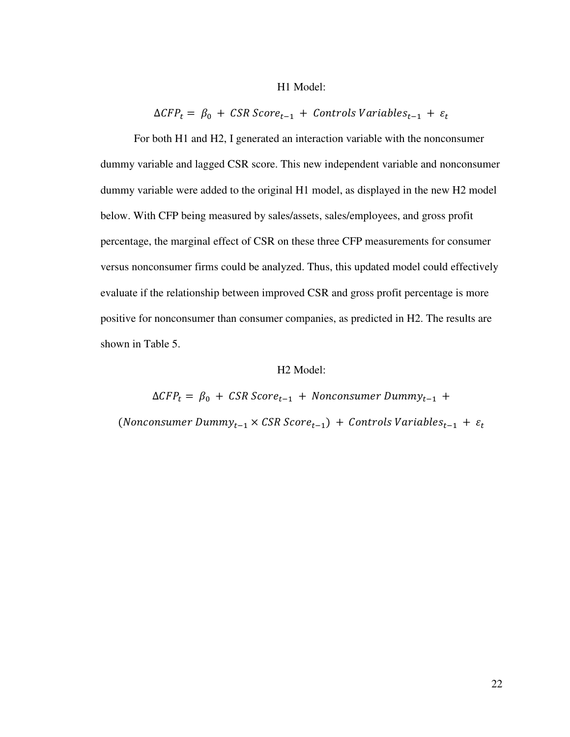#### H1 Model:

 $\Delta CFP_t = \beta_0 + \textit{CSR Score}_{t-1} + \textit{Controls Variables}_{t-1} + \varepsilon_t$ 

For both H1 and H2, I generated an interaction variable with the nonconsumer dummy variable and lagged CSR score. This new independent variable and nonconsumer dummy variable were added to the original H1 model, as displayed in the new H2 model below. With CFP being measured by sales/assets, sales/employees, and gross profit percentage, the marginal effect of CSR on these three CFP measurements for consumer versus nonconsumer firms could be analyzed. Thus, this updated model could effectively evaluate if the relationship between improved CSR and gross profit percentage is more positive for nonconsumer than consumer companies, as predicted in H2. The results are shown in Table 5.

#### H2 Model:

 $\Delta CFP_t = \beta_0 + \text{CSR Score}_{t-1} + \text{Nonconsumer Dummy}_{t-1} +$ (Nonconsumer Dummy<sub>t-1</sub>  $\times$  CSR Score<sub>t-1</sub>) + Controls Variables<sub>t-1</sub> +  $\varepsilon_t$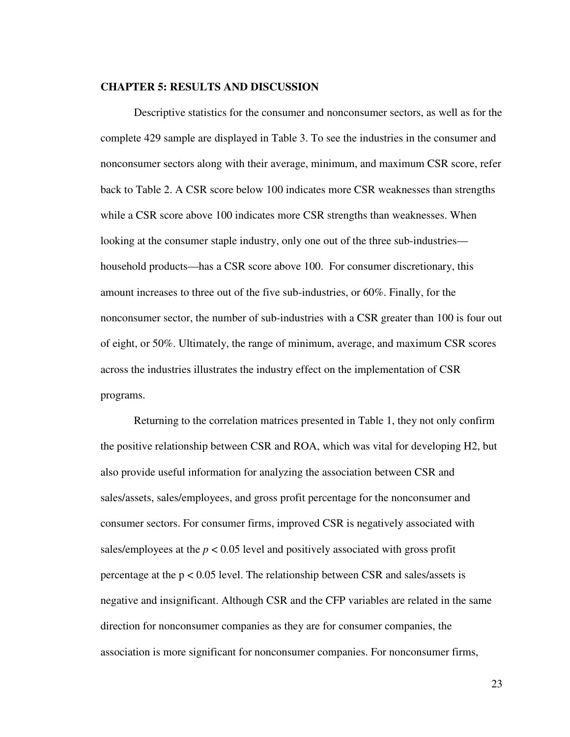#### **CHAPTER 5: RESULTS AND DISCUSSION**

Descriptive statistics for the consumer and nonconsumer sectors, as well as for the complete 429 sample are displayed in Table 3. To see the industries in the consumer and nonconsumer sectors along with their average, minimum, and maximum CSR score, refer back to Table 2. A CSR score below 100 indicates more CSR weaknesses than strengths while a CSR score above 100 indicates more CSR strengths than weaknesses. When looking at the consumer staple industry, only one out of the three sub-industries household products—has a CSR score above 100. For consumer discretionary, this amount increases to three out of the five sub-industries, or 60%. Finally, for the nonconsumer sector, the number of sub-industries with a CSR greater than 100 is four out of eight, or 50%. Ultimately, the range of minimum, average, and maximum CSR scores across the industries illustrates the industry effect on the implementation of CSR programs.

 Returning to the correlation matrices presented in Table 1, they not only confirm the positive relationship between CSR and ROA, which was vital for developing H2, but also provide useful information for analyzing the association between CSR and sales/assets, sales/employees, and gross profit percentage for the nonconsumer and consumer sectors. For consumer firms, improved CSR is negatively associated with sales/employees at the  $p < 0.05$  level and positively associated with gross profit percentage at the p < 0.05 level. The relationship between CSR and sales/assets is negative and insignificant. Although CSR and the CFP variables are related in the same direction for nonconsumer companies as they are for consumer companies, the association is more significant for nonconsumer companies. For nonconsumer firms,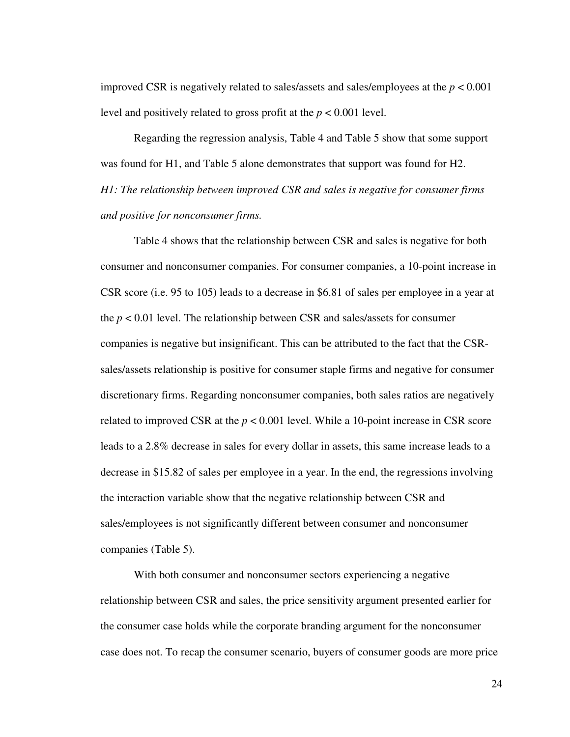improved CSR is negatively related to sales/assets and sales/employees at the  $p < 0.001$ level and positively related to gross profit at the *p* < 0.001 level.

 Regarding the regression analysis, Table 4 and Table 5 show that some support was found for H1, and Table 5 alone demonstrates that support was found for H2. *H1: The relationship between improved CSR and sales is negative for consumer firms and positive for nonconsumer firms.* 

Table 4 shows that the relationship between CSR and sales is negative for both consumer and nonconsumer companies. For consumer companies, a 10-point increase in CSR score (i.e. 95 to 105) leads to a decrease in \$6.81 of sales per employee in a year at the  $p < 0.01$  level. The relationship between CSR and sales/assets for consumer companies is negative but insignificant. This can be attributed to the fact that the CSRsales/assets relationship is positive for consumer staple firms and negative for consumer discretionary firms. Regarding nonconsumer companies, both sales ratios are negatively related to improved CSR at the *p* < 0.001 level. While a 10-point increase in CSR score leads to a 2.8% decrease in sales for every dollar in assets, this same increase leads to a decrease in \$15.82 of sales per employee in a year. In the end, the regressions involving the interaction variable show that the negative relationship between CSR and sales/employees is not significantly different between consumer and nonconsumer companies (Table 5).

With both consumer and nonconsumer sectors experiencing a negative relationship between CSR and sales, the price sensitivity argument presented earlier for the consumer case holds while the corporate branding argument for the nonconsumer case does not. To recap the consumer scenario, buyers of consumer goods are more price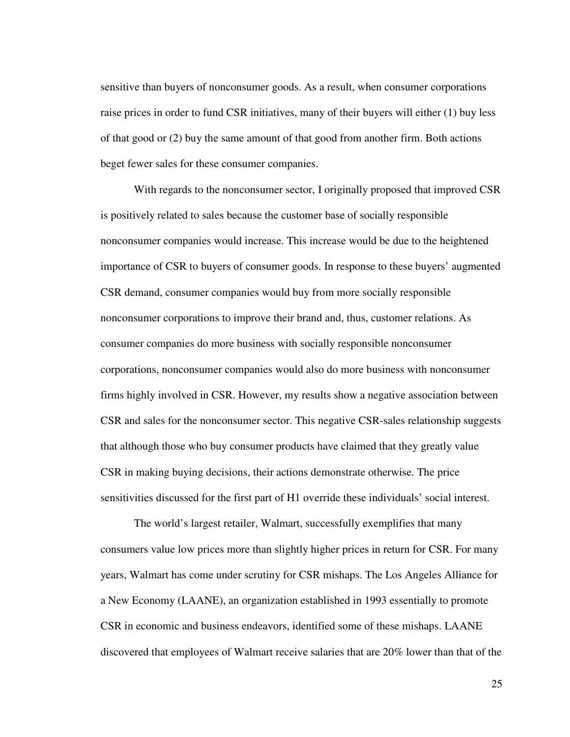sensitive than buyers of nonconsumer goods. As a result, when consumer corporations raise prices in order to fund CSR initiatives, many of their buyers will either (1) buy less of that good or (2) buy the same amount of that good from another firm. Both actions beget fewer sales for these consumer companies.

With regards to the nonconsumer sector, I originally proposed that improved CSR is positively related to sales because the customer base of socially responsible nonconsumer companies would increase. This increase would be due to the heightened importance of CSR to buyers of consumer goods. In response to these buyers' augmented CSR demand, consumer companies would buy from more socially responsible nonconsumer corporations to improve their brand and, thus, customer relations. As consumer companies do more business with socially responsible nonconsumer corporations, nonconsumer companies would also do more business with nonconsumer firms highly involved in CSR. However, my results show a negative association between CSR and sales for the nonconsumer sector. This negative CSR-sales relationship suggests that although those who buy consumer products have claimed that they greatly value CSR in making buying decisions, their actions demonstrate otherwise. The price sensitivities discussed for the first part of H1 override these individuals' social interest.

 The world's largest retailer, Walmart, successfully exemplifies that many consumers value low prices more than slightly higher prices in return for CSR. For many years, Walmart has come under scrutiny for CSR mishaps. The Los Angeles Alliance for a New Economy (LAANE), an organization established in 1993 essentially to promote CSR in economic and business endeavors, identified some of these mishaps. LAANE discovered that employees of Walmart receive salaries that are 20% lower than that of the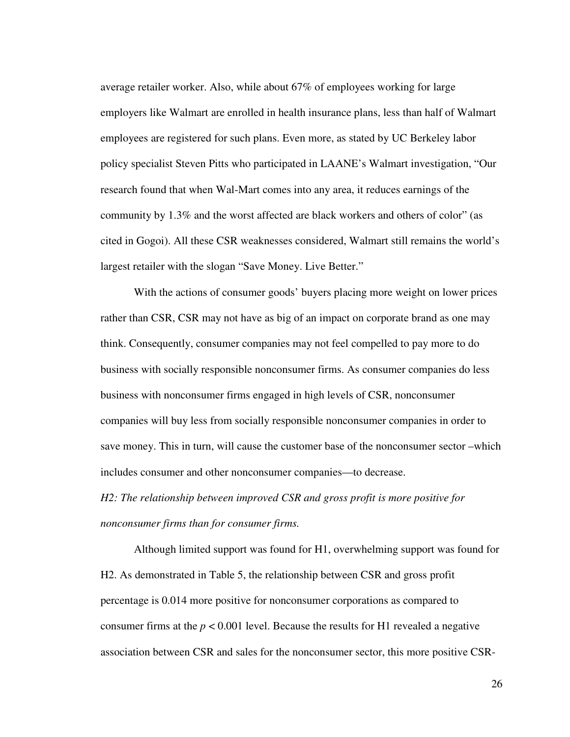average retailer worker. Also, while about 67% of employees working for large employers like Walmart are enrolled in health insurance plans, less than half of Walmart employees are registered for such plans. Even more, as stated by UC Berkeley labor policy specialist Steven Pitts who participated in LAANE's Walmart investigation, "Our research found that when Wal-Mart comes into any area, it reduces earnings of the community by 1.3% and the worst affected are black workers and others of color" (as cited in Gogoi). All these CSR weaknesses considered, Walmart still remains the world's largest retailer with the slogan "Save Money. Live Better."

With the actions of consumer goods' buyers placing more weight on lower prices rather than CSR, CSR may not have as big of an impact on corporate brand as one may think. Consequently, consumer companies may not feel compelled to pay more to do business with socially responsible nonconsumer firms. As consumer companies do less business with nonconsumer firms engaged in high levels of CSR, nonconsumer companies will buy less from socially responsible nonconsumer companies in order to save money. This in turn, will cause the customer base of the nonconsumer sector –which includes consumer and other nonconsumer companies—to decrease.

*H2: The relationship between improved CSR and gross profit is more positive for nonconsumer firms than for consumer firms.*

Although limited support was found for H1, overwhelming support was found for H2. As demonstrated in Table 5, the relationship between CSR and gross profit percentage is 0.014 more positive for nonconsumer corporations as compared to consumer firms at the  $p < 0.001$  level. Because the results for H1 revealed a negative association between CSR and sales for the nonconsumer sector, this more positive CSR-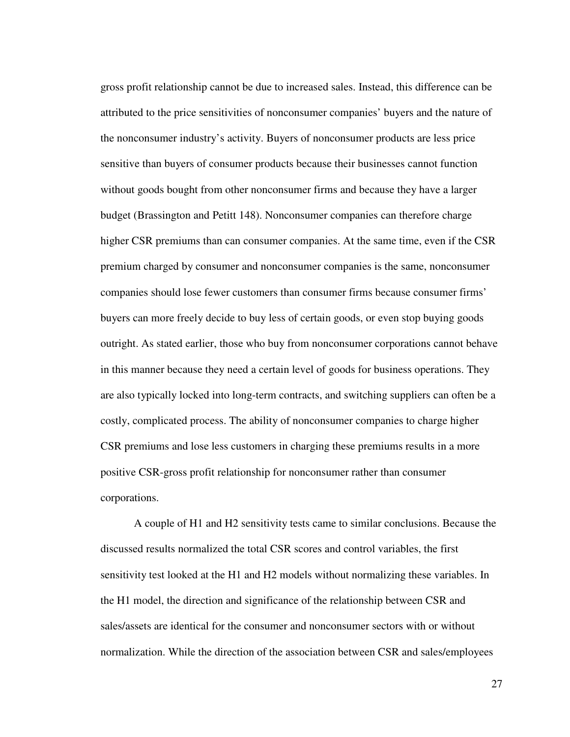gross profit relationship cannot be due to increased sales. Instead, this difference can be attributed to the price sensitivities of nonconsumer companies' buyers and the nature of the nonconsumer industry's activity. Buyers of nonconsumer products are less price sensitive than buyers of consumer products because their businesses cannot function without goods bought from other nonconsumer firms and because they have a larger budget (Brassington and Petitt 148). Nonconsumer companies can therefore charge higher CSR premiums than can consumer companies. At the same time, even if the CSR premium charged by consumer and nonconsumer companies is the same, nonconsumer companies should lose fewer customers than consumer firms because consumer firms' buyers can more freely decide to buy less of certain goods, or even stop buying goods outright. As stated earlier, those who buy from nonconsumer corporations cannot behave in this manner because they need a certain level of goods for business operations. They are also typically locked into long-term contracts, and switching suppliers can often be a costly, complicated process. The ability of nonconsumer companies to charge higher CSR premiums and lose less customers in charging these premiums results in a more positive CSR-gross profit relationship for nonconsumer rather than consumer corporations.

A couple of H1 and H2 sensitivity tests came to similar conclusions. Because the discussed results normalized the total CSR scores and control variables, the first sensitivity test looked at the H1 and H2 models without normalizing these variables. In the H1 model, the direction and significance of the relationship between CSR and sales/assets are identical for the consumer and nonconsumer sectors with or without normalization. While the direction of the association between CSR and sales/employees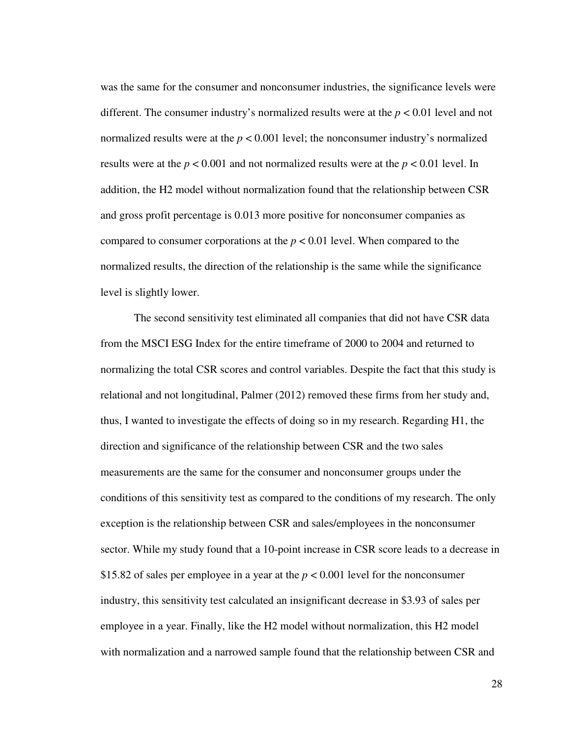was the same for the consumer and nonconsumer industries, the significance levels were different. The consumer industry's normalized results were at the *p* < 0.01 level and not normalized results were at the  $p < 0.001$  level; the nonconsumer industry's normalized results were at the *p* < 0.001 and not normalized results were at the *p* < 0.01 level. In addition, the H2 model without normalization found that the relationship between CSR and gross profit percentage is 0.013 more positive for nonconsumer companies as compared to consumer corporations at the  $p < 0.01$  level. When compared to the normalized results, the direction of the relationship is the same while the significance level is slightly lower.

The second sensitivity test eliminated all companies that did not have CSR data from the MSCI ESG Index for the entire timeframe of 2000 to 2004 and returned to normalizing the total CSR scores and control variables. Despite the fact that this study is relational and not longitudinal, Palmer (2012) removed these firms from her study and, thus, I wanted to investigate the effects of doing so in my research. Regarding H1, the direction and significance of the relationship between CSR and the two sales measurements are the same for the consumer and nonconsumer groups under the conditions of this sensitivity test as compared to the conditions of my research. The only exception is the relationship between CSR and sales/employees in the nonconsumer sector. While my study found that a 10-point increase in CSR score leads to a decrease in \$15.82 of sales per employee in a year at the *p* < 0.001 level for the nonconsumer industry, this sensitivity test calculated an insignificant decrease in \$3.93 of sales per employee in a year. Finally, like the H2 model without normalization, this H2 model with normalization and a narrowed sample found that the relationship between CSR and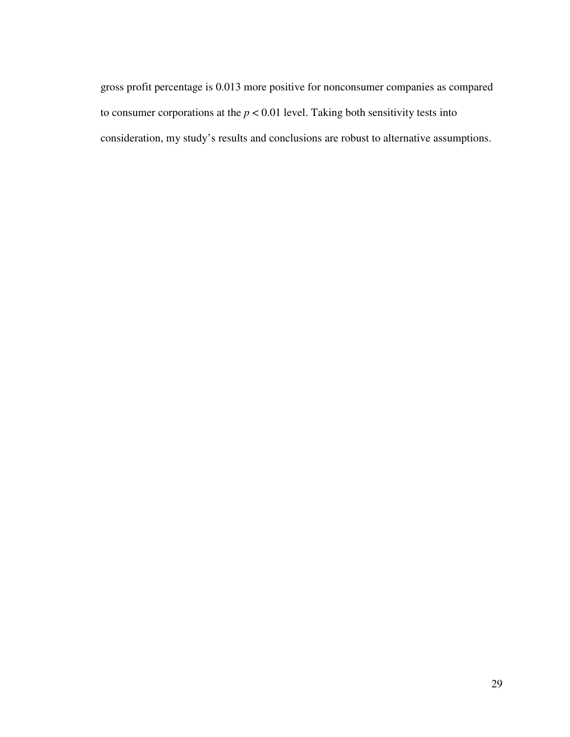gross profit percentage is 0.013 more positive for nonconsumer companies as compared to consumer corporations at the  $p < 0.01$  level. Taking both sensitivity tests into consideration, my study's results and conclusions are robust to alternative assumptions.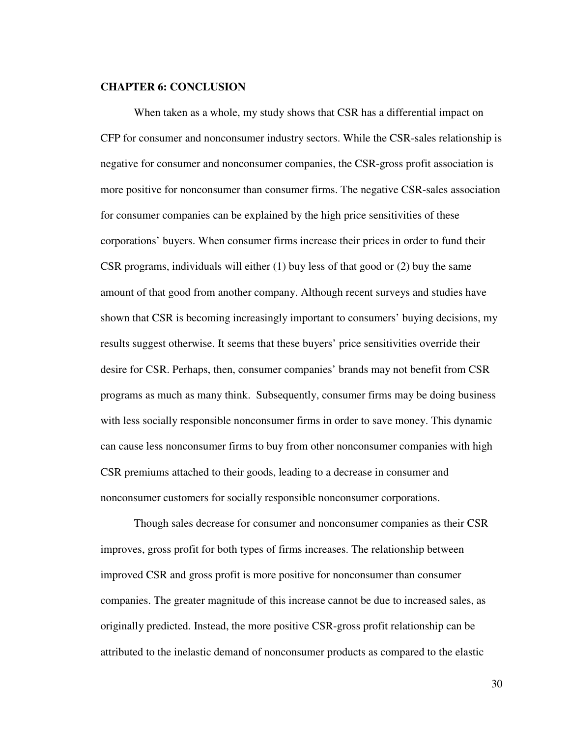#### **CHAPTER 6: CONCLUSION**

 When taken as a whole, my study shows that CSR has a differential impact on CFP for consumer and nonconsumer industry sectors. While the CSR-sales relationship is negative for consumer and nonconsumer companies, the CSR-gross profit association is more positive for nonconsumer than consumer firms. The negative CSR-sales association for consumer companies can be explained by the high price sensitivities of these corporations' buyers. When consumer firms increase their prices in order to fund their CSR programs, individuals will either (1) buy less of that good or (2) buy the same amount of that good from another company. Although recent surveys and studies have shown that CSR is becoming increasingly important to consumers' buying decisions, my results suggest otherwise. It seems that these buyers' price sensitivities override their desire for CSR. Perhaps, then, consumer companies' brands may not benefit from CSR programs as much as many think. Subsequently, consumer firms may be doing business with less socially responsible nonconsumer firms in order to save money. This dynamic can cause less nonconsumer firms to buy from other nonconsumer companies with high CSR premiums attached to their goods, leading to a decrease in consumer and nonconsumer customers for socially responsible nonconsumer corporations.

 Though sales decrease for consumer and nonconsumer companies as their CSR improves, gross profit for both types of firms increases. The relationship between improved CSR and gross profit is more positive for nonconsumer than consumer companies. The greater magnitude of this increase cannot be due to increased sales, as originally predicted. Instead, the more positive CSR-gross profit relationship can be attributed to the inelastic demand of nonconsumer products as compared to the elastic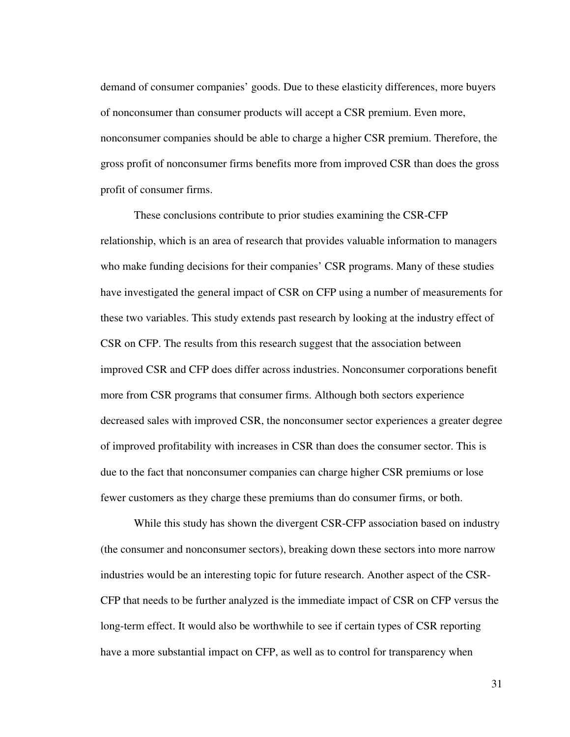demand of consumer companies' goods. Due to these elasticity differences, more buyers of nonconsumer than consumer products will accept a CSR premium. Even more, nonconsumer companies should be able to charge a higher CSR premium. Therefore, the gross profit of nonconsumer firms benefits more from improved CSR than does the gross profit of consumer firms.

 These conclusions contribute to prior studies examining the CSR-CFP relationship, which is an area of research that provides valuable information to managers who make funding decisions for their companies' CSR programs. Many of these studies have investigated the general impact of CSR on CFP using a number of measurements for these two variables. This study extends past research by looking at the industry effect of CSR on CFP. The results from this research suggest that the association between improved CSR and CFP does differ across industries. Nonconsumer corporations benefit more from CSR programs that consumer firms. Although both sectors experience decreased sales with improved CSR, the nonconsumer sector experiences a greater degree of improved profitability with increases in CSR than does the consumer sector. This is due to the fact that nonconsumer companies can charge higher CSR premiums or lose fewer customers as they charge these premiums than do consumer firms, or both.

While this study has shown the divergent CSR-CFP association based on industry (the consumer and nonconsumer sectors), breaking down these sectors into more narrow industries would be an interesting topic for future research. Another aspect of the CSR-CFP that needs to be further analyzed is the immediate impact of CSR on CFP versus the long-term effect. It would also be worthwhile to see if certain types of CSR reporting have a more substantial impact on CFP, as well as to control for transparency when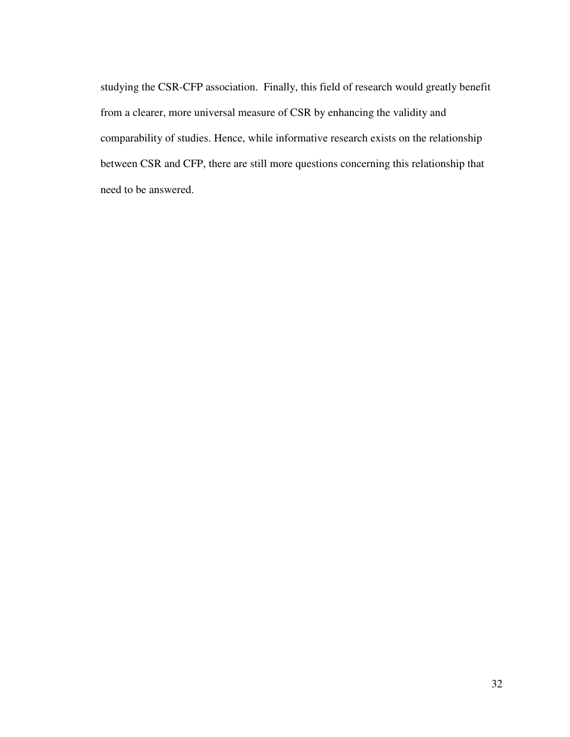studying the CSR-CFP association. Finally, this field of research would greatly benefit from a clearer, more universal measure of CSR by enhancing the validity and comparability of studies. Hence, while informative research exists on the relationship between CSR and CFP, there are still more questions concerning this relationship that need to be answered.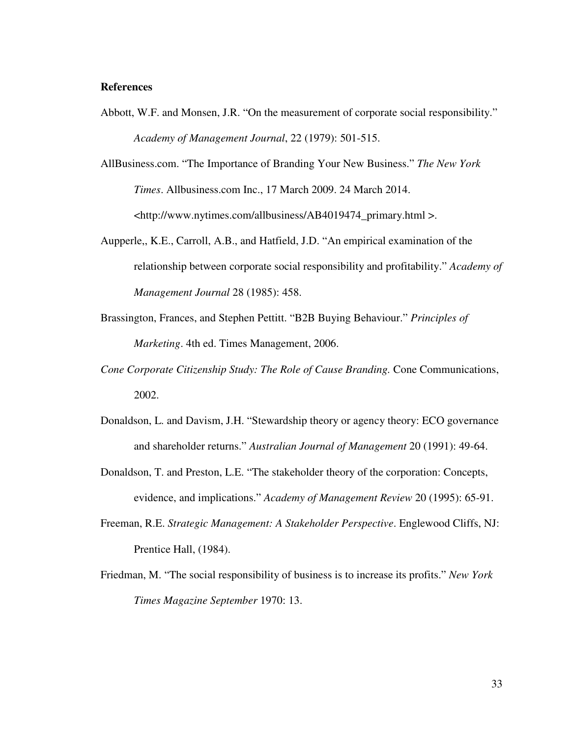#### **References**

- Abbott, W.F. and Monsen, J.R. "On the measurement of corporate social responsibility." *Academy of Management Journal*, 22 (1979): 501-515.
- AllBusiness.com. "The Importance of Branding Your New Business." *The New York Times*. Allbusiness.com Inc., 17 March 2009. 24 March 2014. <http://www.nytimes.com/allbusiness/AB4019474\_primary.html >.
- Aupperle,, K.E., Carroll, A.B., and Hatfield, J.D. "An empirical examination of the relationship between corporate social responsibility and profitability." *Academy of Management Journal* 28 (1985): 458.
- Brassington, Frances, and Stephen Pettitt. "B2B Buying Behaviour." *Principles of Marketing*. 4th ed. Times Management, 2006.
- *Cone Corporate Citizenship Study: The Role of Cause Branding.* Cone Communications, 2002.
- Donaldson, L. and Davism, J.H. "Stewardship theory or agency theory: ECO governance and shareholder returns." *Australian Journal of Management* 20 (1991): 49-64.
- Donaldson, T. and Preston, L.E. "The stakeholder theory of the corporation: Concepts, evidence, and implications." *Academy of Management Review* 20 (1995): 65-91.
- Freeman, R.E. *Strategic Management: A Stakeholder Perspective*. Englewood Cliffs, NJ: Prentice Hall, (1984).
- Friedman, M. "The social responsibility of business is to increase its profits." *New York Times Magazine September* 1970: 13.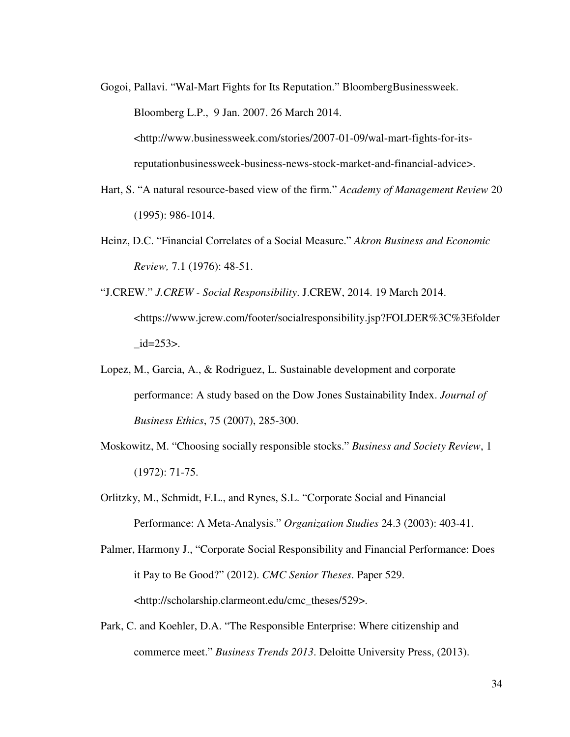Gogoi, Pallavi. "Wal-Mart Fights for Its Reputation." BloombergBusinessweek. Bloomberg L.P., 9 Jan. 2007. 26 March 2014. <http://www.businessweek.com/stories/2007-01-09/wal-mart-fights-for-itsreputationbusinessweek-business-news-stock-market-and-financial-advice>.

- Hart, S. "A natural resource-based view of the firm." *Academy of Management Review* 20 (1995): 986-1014.
- Heinz, D.C. "Financial Correlates of a Social Measure." *Akron Business and Economic Review,* 7.1 (1976): 48-51.
- "J.CREW." *J.CREW Social Responsibility*. J.CREW, 2014. 19 March 2014. <https://www.jcrew.com/footer/socialresponsibility.jsp?FOLDER%3C%3Efolder  $id=253$ .
- Lopez, M., Garcia, A., & Rodriguez, L. Sustainable development and corporate performance: A study based on the Dow Jones Sustainability Index. *Journal of Business Ethics*, 75 (2007), 285-300.
- Moskowitz, M. "Choosing socially responsible stocks." *Business and Society Review*, 1 (1972): 71-75.
- Orlitzky, M., Schmidt, F.L., and Rynes, S.L. "Corporate Social and Financial Performance: A Meta-Analysis." *Organization Studies* 24.3 (2003): 403-41.
- Palmer, Harmony J., "Corporate Social Responsibility and Financial Performance: Does it Pay to Be Good?" (2012). *CMC Senior Theses*. Paper 529. <http://scholarship.clarmeont.edu/cmc\_theses/529>.
- Park, C. and Koehler, D.A. "The Responsible Enterprise: Where citizenship and commerce meet." *Business Trends 2013*. Deloitte University Press, (2013).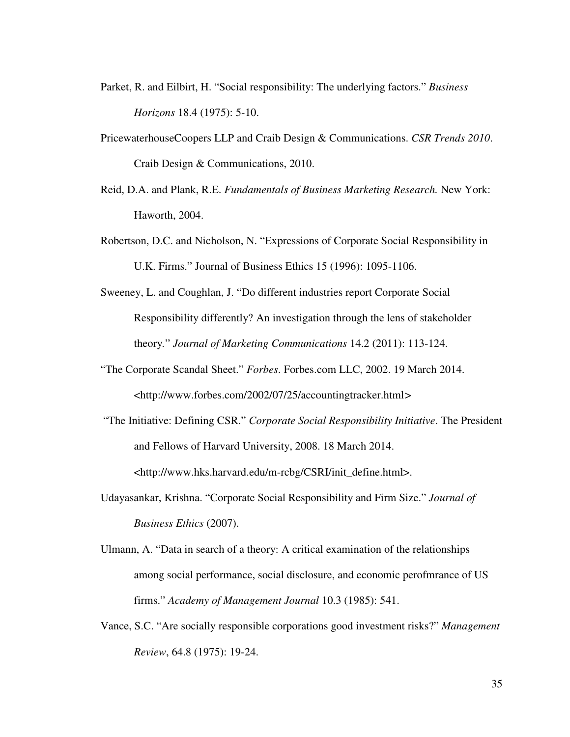- Parket, R. and Eilbirt, H. "Social responsibility: The underlying factors." *Business Horizons* 18.4 (1975): 5-10.
- PricewaterhouseCoopers LLP and Craib Design & Communications. *CSR Trends 2010*. Craib Design & Communications, 2010.
- Reid, D.A. and Plank, R.E. *Fundamentals of Business Marketing Research.* New York: Haworth, 2004.
- Robertson, D.C. and Nicholson, N. "Expressions of Corporate Social Responsibility in U.K. Firms." Journal of Business Ethics 15 (1996): 1095-1106.
- Sweeney, L. and Coughlan, J. "Do different industries report Corporate Social Responsibility differently? An investigation through the lens of stakeholder theory*.*" *Journal of Marketing Communications* 14.2 (2011): 113-124.
- "The Corporate Scandal Sheet." *Forbes*. Forbes.com LLC, 2002. 19 March 2014. <http://www.forbes.com/2002/07/25/accountingtracker.html*>*
- "The Initiative: Defining CSR." *Corporate Social Responsibility Initiative*. The President and Fellows of Harvard University, 2008. 18 March 2014. <http://www.hks.harvard.edu/m-rcbg/CSRI/init\_define.html>.
- Udayasankar, Krishna. "Corporate Social Responsibility and Firm Size." *Journal of Business Ethics* (2007).
- Ulmann, A. "Data in search of a theory: A critical examination of the relationships among social performance, social disclosure, and economic perofmrance of US firms." *Academy of Management Journal* 10.3 (1985): 541.
- Vance, S.C. "Are socially responsible corporations good investment risks?" *Management Review*, 64.8 (1975): 19-24.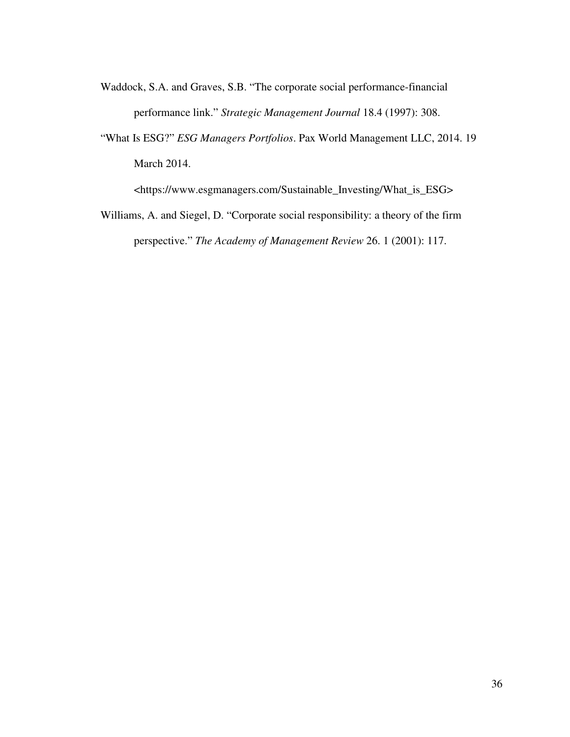- Waddock, S.A. and Graves, S.B. "The corporate social performance-financial performance link." *Strategic Management Journal* 18.4 (1997): 308.
- "What Is ESG?" *ESG Managers Portfolios*. Pax World Management LLC, 2014. 19 March 2014.

<https://www.esgmanagers.com/Sustainable\_Investing/What\_is\_ESG>

Williams, A. and Siegel, D. "Corporate social responsibility: a theory of the firm perspective." *The Academy of Management Review* 26. 1 (2001): 117.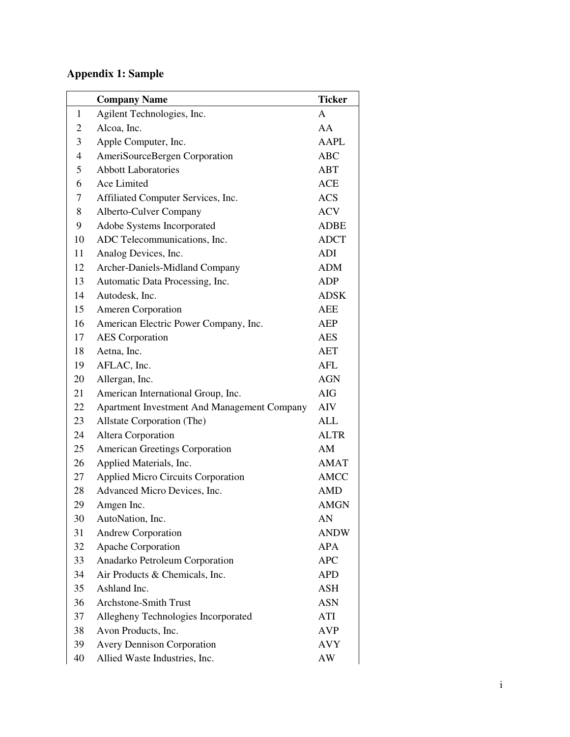# **Appendix 1: Sample**

|                | <b>Company Name</b>                         | <b>Ticker</b> |
|----------------|---------------------------------------------|---------------|
| $\mathbf{1}$   | Agilent Technologies, Inc.                  | $\mathbf{A}$  |
| 2              | Alcoa, Inc.                                 | AA            |
| 3              | Apple Computer, Inc.                        | <b>AAPL</b>   |
| $\overline{4}$ | AmeriSourceBergen Corporation               | <b>ABC</b>    |
| 5              | <b>Abbott Laboratories</b>                  | <b>ABT</b>    |
| 6              | Ace Limited                                 | <b>ACE</b>    |
| 7              | Affiliated Computer Services, Inc.          | <b>ACS</b>    |
| 8              | Alberto-Culver Company                      | <b>ACV</b>    |
| 9              | Adobe Systems Incorporated                  | <b>ADBE</b>   |
| 10             | ADC Telecommunications, Inc.                | <b>ADCT</b>   |
| 11             | Analog Devices, Inc.                        | ADI           |
| 12             | Archer-Daniels-Midland Company              | <b>ADM</b>    |
| 13             | Automatic Data Processing, Inc.             | <b>ADP</b>    |
| 14             | Autodesk, Inc.                              | <b>ADSK</b>   |
| 15             | <b>Ameren Corporation</b>                   | <b>AEE</b>    |
| 16             | American Electric Power Company, Inc.       | <b>AEP</b>    |
| 17             | <b>AES</b> Corporation                      | <b>AES</b>    |
| 18             | Aetna, Inc.                                 | <b>AET</b>    |
| 19             | AFLAC, Inc.                                 | AFL           |
| 20             | Allergan, Inc.                              | <b>AGN</b>    |
| 21             | American International Group, Inc.          | <b>AIG</b>    |
| 22             | Apartment Investment And Management Company | AIV           |
| 23             | Allstate Corporation (The)                  | ALL           |
| 24             | Altera Corporation                          | <b>ALTR</b>   |
| 25             | <b>American Greetings Corporation</b>       | AM            |
| 26             | Applied Materials, Inc.                     | <b>AMAT</b>   |
| 27             | <b>Applied Micro Circuits Corporation</b>   | <b>AMCC</b>   |
| 28             | Advanced Micro Devices, Inc.                | <b>AMD</b>    |
| 29             | Amgen Inc.                                  | <b>AMGN</b>   |
| 30             | AutoNation, Inc.                            | AN            |
| 31             | <b>Andrew Corporation</b>                   | <b>ANDW</b>   |
| 32             | Apache Corporation                          | <b>APA</b>    |
| 33             | Anadarko Petroleum Corporation              | <b>APC</b>    |
| 34             | Air Products & Chemicals, Inc.              | <b>APD</b>    |
| 35             | Ashland Inc.                                | <b>ASH</b>    |
| 36             | <b>Archstone-Smith Trust</b>                | <b>ASN</b>    |
| 37             | Allegheny Technologies Incorporated         | ATI           |
| 38             | Avon Products, Inc.                         | <b>AVP</b>    |
| 39             | <b>Avery Dennison Corporation</b>           | <b>AVY</b>    |
| 40             | Allied Waste Industries, Inc.               | AW            |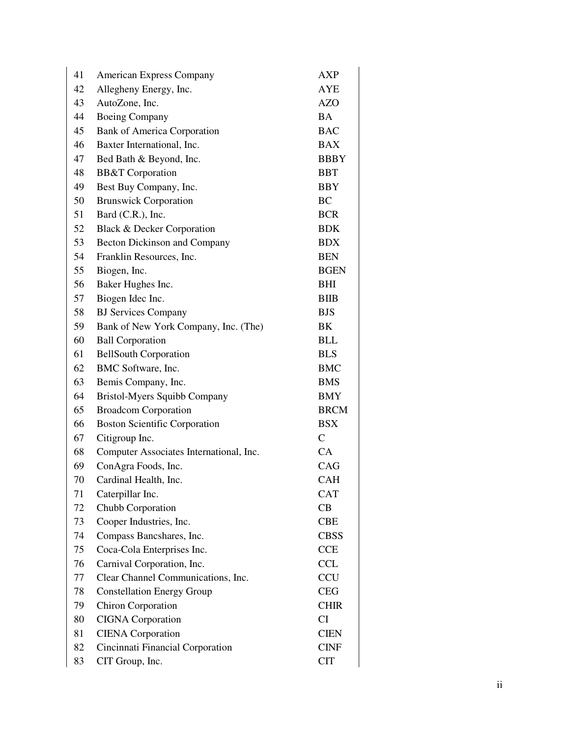| 41 | <b>American Express Company</b>         | <b>AXP</b>    |
|----|-----------------------------------------|---------------|
| 42 | Allegheny Energy, Inc.                  | AYE           |
| 43 | AutoZone, Inc.                          | <b>AZO</b>    |
| 44 | <b>Boeing Company</b>                   | <b>BA</b>     |
| 45 | <b>Bank of America Corporation</b>      | <b>BAC</b>    |
| 46 | Baxter International, Inc.              | <b>BAX</b>    |
| 47 | Bed Bath & Beyond, Inc.                 | <b>BBBY</b>   |
| 48 | <b>BB&amp;T</b> Corporation             | <b>BBT</b>    |
| 49 | Best Buy Company, Inc.                  | BBY           |
| 50 | <b>Brunswick Corporation</b>            | <b>BC</b>     |
| 51 | Bard (C.R.), Inc.                       | <b>BCR</b>    |
| 52 | <b>Black &amp; Decker Corporation</b>   | <b>BDK</b>    |
| 53 | Becton Dickinson and Company            | <b>BDX</b>    |
| 54 | Franklin Resources, Inc.                | <b>BEN</b>    |
| 55 | Biogen, Inc.                            | <b>BGEN</b>   |
| 56 | Baker Hughes Inc.                       | BHI           |
| 57 | Biogen Idec Inc.                        | <b>BIIB</b>   |
| 58 | <b>BJ</b> Services Company              | <b>BJS</b>    |
| 59 | Bank of New York Company, Inc. (The)    | BK            |
| 60 | <b>Ball Corporation</b>                 | <b>BLL</b>    |
| 61 | <b>BellSouth Corporation</b>            | <b>BLS</b>    |
| 62 | BMC Software, Inc.                      | <b>BMC</b>    |
| 63 | Bemis Company, Inc.                     | <b>BMS</b>    |
| 64 | <b>Bristol-Myers Squibb Company</b>     | BMY           |
| 65 | <b>Broadcom Corporation</b>             | <b>BRCM</b>   |
| 66 | <b>Boston Scientific Corporation</b>    | <b>BSX</b>    |
| 67 | Citigroup Inc.                          | $\mathcal{C}$ |
| 68 | Computer Associates International, Inc. | CA            |
| 69 | ConAgra Foods, Inc.                     | CAG           |
| 70 | Cardinal Health, Inc.                   | <b>CAH</b>    |
| 71 | Caterpillar Inc.                        | <b>CAT</b>    |
| 72 | Chubb Corporation                       | CB            |
| 73 | Cooper Industries, Inc.                 | <b>CBE</b>    |
| 74 | Compass Bancshares, Inc.                | <b>CBSS</b>   |
| 75 | Coca-Cola Enterprises Inc.              | <b>CCE</b>    |
| 76 | Carnival Corporation, Inc.              | <b>CCL</b>    |
| 77 | Clear Channel Communications, Inc.      | <b>CCU</b>    |
| 78 | <b>Constellation Energy Group</b>       | <b>CEG</b>    |
| 79 | <b>Chiron Corporation</b>               | <b>CHIR</b>   |
| 80 | <b>CIGNA</b> Corporation                | CI            |
| 81 | <b>CIENA</b> Corporation                | <b>CIEN</b>   |
| 82 | Cincinnati Financial Corporation        | <b>CINF</b>   |
| 83 | CIT Group, Inc.                         | <b>CIT</b>    |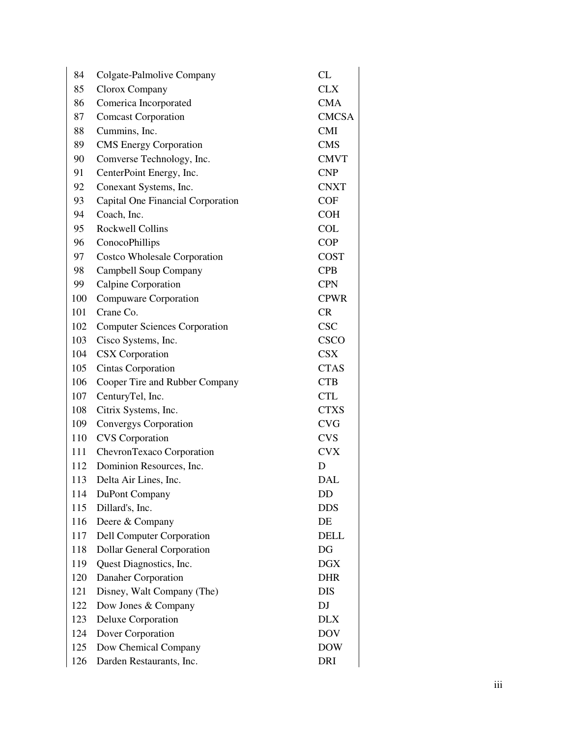| 84  | Colgate-Palmolive Company            | CL           |
|-----|--------------------------------------|--------------|
| 85  | Clorox Company                       | <b>CLX</b>   |
| 86  | Comerica Incorporated                | <b>CMA</b>   |
| 87  | <b>Comcast Corporation</b>           | <b>CMCSA</b> |
| 88  | Cummins, Inc.                        | <b>CMI</b>   |
| 89  | <b>CMS</b> Energy Corporation        | <b>CMS</b>   |
| 90  | Comverse Technology, Inc.            | <b>CMVT</b>  |
| 91  | CenterPoint Energy, Inc.             | <b>CNP</b>   |
| 92  | Conexant Systems, Inc.               | <b>CNXT</b>  |
| 93  | Capital One Financial Corporation    | <b>COF</b>   |
| 94  | Coach, Inc.                          | <b>COH</b>   |
| 95  | <b>Rockwell Collins</b>              | <b>COL</b>   |
| 96  | ConocoPhillips                       | <b>COP</b>   |
| 97  | <b>Costco Wholesale Corporation</b>  | <b>COST</b>  |
| 98  | Campbell Soup Company                | <b>CPB</b>   |
| 99  | Calpine Corporation                  | <b>CPN</b>   |
| 100 | Compuware Corporation                | <b>CPWR</b>  |
| 101 | Crane Co.                            | CR           |
| 102 | <b>Computer Sciences Corporation</b> | <b>CSC</b>   |
| 103 | Cisco Systems, Inc.                  | <b>CSCO</b>  |
| 104 | <b>CSX</b> Corporation               | <b>CSX</b>   |
| 105 | Cintas Corporation                   | <b>CTAS</b>  |
| 106 | Cooper Tire and Rubber Company       | <b>CTB</b>   |
| 107 | CenturyTel, Inc.                     | <b>CTL</b>   |
| 108 | Citrix Systems, Inc.                 | <b>CTXS</b>  |
| 109 | Convergys Corporation                | <b>CVG</b>   |
| 110 | <b>CVS</b> Corporation               | <b>CVS</b>   |
| 111 | ChevronTexaco Corporation            | <b>CVX</b>   |
| 112 | Dominion Resources, Inc.             | D            |
| 113 | Delta Air Lines, Inc.                | <b>DAL</b>   |
| 114 | DuPont Company                       | DD           |
| 115 | Dillard's, Inc.                      | <b>DDS</b>   |
| 116 | Deere & Company                      | DE           |
| 117 | Dell Computer Corporation            | <b>DELL</b>  |
| 118 | <b>Dollar General Corporation</b>    | DG           |
| 119 | Quest Diagnostics, Inc.              | DGX          |
| 120 | Danaher Corporation                  | <b>DHR</b>   |
| 121 | Disney, Walt Company (The)           | <b>DIS</b>   |
| 122 | Dow Jones & Company                  | <b>DJ</b>    |
| 123 | Deluxe Corporation                   | <b>DLX</b>   |
| 124 | Dover Corporation                    | <b>DOV</b>   |
| 125 | Dow Chemical Company                 | <b>DOW</b>   |
| 126 | Darden Restaurants, Inc.             | <b>DRI</b>   |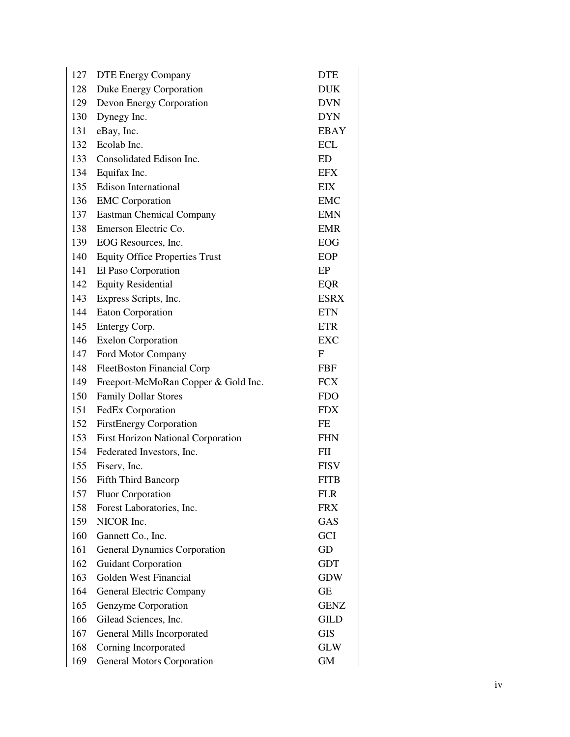| 127 | <b>DTE Energy Company</b>                 | <b>DTE</b>                |
|-----|-------------------------------------------|---------------------------|
| 128 | Duke Energy Corporation                   | <b>DUK</b>                |
| 129 | Devon Energy Corporation                  | <b>DVN</b>                |
| 130 | Dynegy Inc.                               | <b>DYN</b>                |
| 131 | eBay, Inc.                                | EBAY                      |
| 132 | Ecolab Inc.                               | <b>ECL</b>                |
| 133 | Consolidated Edison Inc.                  | ED                        |
| 134 | Equifax Inc.                              | <b>EFX</b>                |
| 135 | Edison International                      | EIX                       |
| 136 | <b>EMC</b> Corporation                    | <b>EMC</b>                |
| 137 | <b>Eastman Chemical Company</b>           | <b>EMN</b>                |
| 138 | Emerson Electric Co.                      | <b>EMR</b>                |
| 139 | EOG Resources, Inc.                       | <b>EOG</b>                |
| 140 | <b>Equity Office Properties Trust</b>     | EOP                       |
| 141 | El Paso Corporation                       | EP                        |
| 142 | <b>Equity Residential</b>                 | <b>EQR</b>                |
| 143 | Express Scripts, Inc.                     | <b>ESRX</b>               |
| 144 | Eaton Corporation                         | <b>ETN</b>                |
| 145 | Entergy Corp.                             | <b>ETR</b>                |
| 146 | <b>Exelon Corporation</b>                 | EXC                       |
| 147 | Ford Motor Company                        | $\boldsymbol{\mathrm{F}}$ |
| 148 | <b>FleetBoston Financial Corp</b>         | <b>FBF</b>                |
| 149 | Freeport-McMoRan Copper & Gold Inc.       | <b>FCX</b>                |
| 150 | <b>Family Dollar Stores</b>               | <b>FDO</b>                |
| 151 | FedEx Corporation                         | <b>FDX</b>                |
| 152 | <b>FirstEnergy Corporation</b>            | FE                        |
| 153 | <b>First Horizon National Corporation</b> | <b>FHN</b>                |
| 154 | Federated Investors, Inc.                 | FП                        |
| 155 | Fiserv, Inc.                              | <b>FISV</b>               |
| 156 | <b>Fifth Third Bancorp</b>                | <b>FITB</b>               |
| 157 | <b>Fluor Corporation</b>                  | <b>FLR</b>                |
| 158 | Forest Laboratories, Inc.                 | <b>FRX</b>                |
| 159 | NICOR Inc.                                | GAS                       |
| 160 | Gannett Co., Inc.                         | <b>GCI</b>                |
| 161 | <b>General Dynamics Corporation</b>       | GD                        |
| 162 | <b>Guidant Corporation</b>                | <b>GDT</b>                |
| 163 | Golden West Financial                     | <b>GDW</b>                |
| 164 | General Electric Company                  | <b>GE</b>                 |
| 165 | Genzyme Corporation                       | <b>GENZ</b>               |
| 166 | Gilead Sciences, Inc.                     | <b>GILD</b>               |
| 167 | General Mills Incorporated                | <b>GIS</b>                |
| 168 | Corning Incorporated                      | <b>GLW</b>                |
| 169 | <b>General Motors Corporation</b>         | <b>GM</b>                 |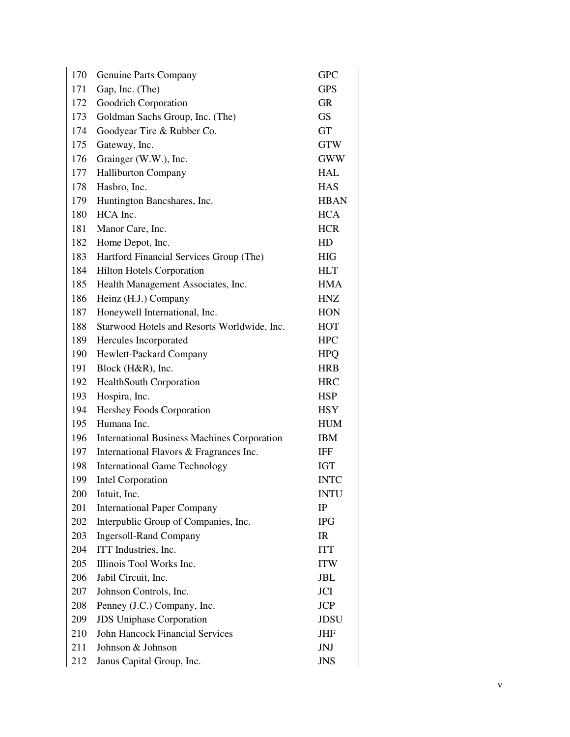| 170 | Genuine Parts Company                              | <b>GPC</b>  |
|-----|----------------------------------------------------|-------------|
| 171 | Gap, Inc. (The)                                    | <b>GPS</b>  |
| 172 | Goodrich Corporation                               | <b>GR</b>   |
| 173 | Goldman Sachs Group, Inc. (The)                    | <b>GS</b>   |
| 174 | Goodyear Tire & Rubber Co.                         | <b>GT</b>   |
| 175 | Gateway, Inc.                                      | <b>GTW</b>  |
| 176 | Grainger (W.W.), Inc.                              | <b>GWW</b>  |
| 177 | Halliburton Company                                | <b>HAL</b>  |
| 178 | Hasbro, Inc.                                       | <b>HAS</b>  |
| 179 | Huntington Bancshares, Inc.                        | <b>HBAN</b> |
| 180 | HCA Inc.                                           | <b>HCA</b>  |
| 181 | Manor Care, Inc.                                   | <b>HCR</b>  |
| 182 | Home Depot, Inc.                                   | HD          |
| 183 | Hartford Financial Services Group (The)            | <b>HIG</b>  |
| 184 | <b>Hilton Hotels Corporation</b>                   | <b>HLT</b>  |
| 185 | Health Management Associates, Inc.                 | <b>HMA</b>  |
| 186 | Heinz (H.J.) Company                               | <b>HNZ</b>  |
| 187 | Honeywell International, Inc.                      | <b>HON</b>  |
| 188 | Starwood Hotels and Resorts Worldwide, Inc.        | <b>HOT</b>  |
| 189 | Hercules Incorporated                              | <b>HPC</b>  |
| 190 | Hewlett-Packard Company                            | <b>HPQ</b>  |
| 191 | Block (H&R), Inc.                                  | <b>HRB</b>  |
| 192 | HealthSouth Corporation                            | <b>HRC</b>  |
| 193 | Hospira, Inc.                                      | <b>HSP</b>  |
| 194 | Hershey Foods Corporation                          | <b>HSY</b>  |
| 195 | Humana Inc.                                        | <b>HUM</b>  |
| 196 | <b>International Business Machines Corporation</b> | <b>IBM</b>  |
| 197 | International Flavors & Fragrances Inc.            | <b>IFF</b>  |
| 198 | <b>International Game Technology</b>               | <b>IGT</b>  |
| 199 | <b>Intel Corporation</b>                           | <b>INTC</b> |
| 200 | Intuit, Inc.                                       | <b>INTU</b> |
| 201 | <b>International Paper Company</b>                 | $_{\rm IP}$ |
| 202 | Interpublic Group of Companies, Inc.               | <b>IPG</b>  |
| 203 | <b>Ingersoll-Rand Company</b>                      | IR          |
| 204 | ITT Industries, Inc.                               | <b>ITT</b>  |
| 205 | Illinois Tool Works Inc.                           | <b>ITW</b>  |
| 206 | Jabil Circuit, Inc.                                | JBL         |
| 207 | Johnson Controls, Inc.                             | JCI         |
| 208 | Penney (J.C.) Company, Inc.                        | <b>JCP</b>  |
| 209 | <b>JDS</b> Uniphase Corporation                    | JDSU        |
| 210 | <b>John Hancock Financial Services</b>             | <b>JHF</b>  |
| 211 | Johnson & Johnson                                  | <b>JNJ</b>  |
| 212 | Janus Capital Group, Inc.                          | <b>JNS</b>  |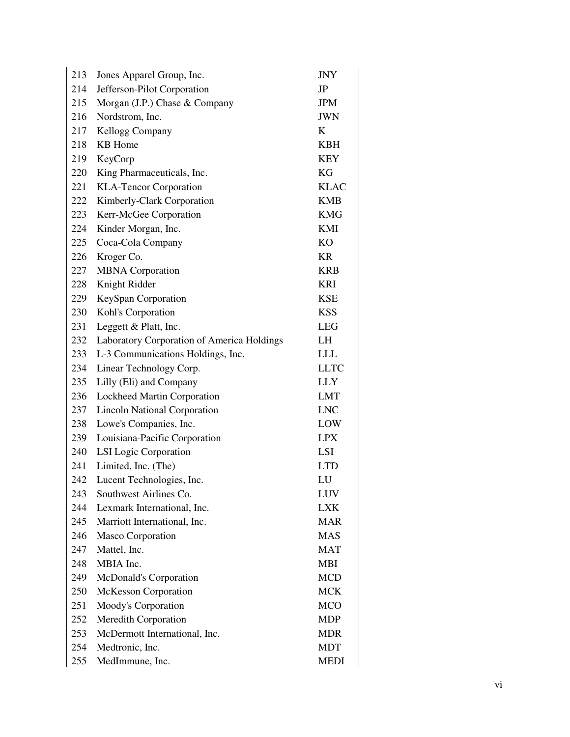| 213 | Jones Apparel Group, Inc.                  | <b>JNY</b>  |
|-----|--------------------------------------------|-------------|
| 214 | Jefferson-Pilot Corporation                | JP          |
| 215 | Morgan (J.P.) Chase & Company              | <b>JPM</b>  |
| 216 | Nordstrom, Inc.                            | <b>JWN</b>  |
| 217 | Kellogg Company                            | K           |
| 218 | <b>KB</b> Home                             | <b>KBH</b>  |
| 219 | KeyCorp                                    | <b>KEY</b>  |
| 220 | King Pharmaceuticals, Inc.                 | <b>KG</b>   |
| 221 | <b>KLA-Tencor Corporation</b>              | <b>KLAC</b> |
| 222 | Kimberly-Clark Corporation                 | <b>KMB</b>  |
| 223 | Kerr-McGee Corporation                     | <b>KMG</b>  |
| 224 | Kinder Morgan, Inc.                        | KMI         |
| 225 | Coca-Cola Company                          | <b>KO</b>   |
| 226 | Kroger Co.                                 | <b>KR</b>   |
| 227 | <b>MBNA</b> Corporation                    | <b>KRB</b>  |
| 228 | Knight Ridder                              | <b>KRI</b>  |
| 229 | KeySpan Corporation                        | <b>KSE</b>  |
| 230 | Kohl's Corporation                         | <b>KSS</b>  |
| 231 | Leggett & Platt, Inc.                      | <b>LEG</b>  |
| 232 | Laboratory Corporation of America Holdings | LH          |
| 233 | L-3 Communications Holdings, Inc.          | <b>LLL</b>  |
| 234 | Linear Technology Corp.                    | <b>LLTC</b> |
| 235 | Lilly (Eli) and Company                    | <b>LLY</b>  |
| 236 | Lockheed Martin Corporation                | <b>LMT</b>  |
| 237 | <b>Lincoln National Corporation</b>        | <b>LNC</b>  |
| 238 | Lowe's Companies, Inc.                     | LOW         |
| 239 | Louisiana-Pacific Corporation              | <b>LPX</b>  |
| 240 | <b>LSI</b> Logic Corporation               | LSI         |
| 241 | Limited, Inc. (The)                        | <b>LTD</b>  |
| 242 | Lucent Technologies, Inc.                  | LU          |
| 243 | Southwest Airlines Co.                     | LUV         |
| 244 | Lexmark International, Inc.                | <b>LXK</b>  |
| 245 | Marriott International, Inc.               | <b>MAR</b>  |
| 246 | <b>Masco Corporation</b>                   | <b>MAS</b>  |
| 247 | Mattel, Inc.                               | <b>MAT</b>  |
| 248 | MBIA Inc.                                  | <b>MBI</b>  |
| 249 | McDonald's Corporation                     | <b>MCD</b>  |
| 250 | <b>McKesson Corporation</b>                | <b>MCK</b>  |
| 251 | Moody's Corporation                        | <b>MCO</b>  |
| 252 | Meredith Corporation                       | <b>MDP</b>  |
| 253 | McDermott International, Inc.              | <b>MDR</b>  |
| 254 | Medtronic, Inc.                            | <b>MDT</b>  |
| 255 | MedImmune, Inc.                            | <b>MEDI</b> |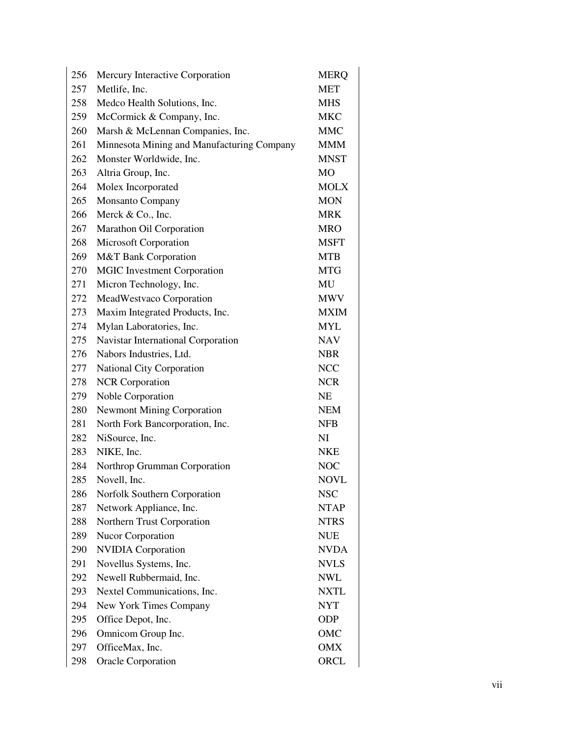| 256 | Mercury Interactive Corporation            | <b>MERQ</b> |
|-----|--------------------------------------------|-------------|
| 257 | Metlife, Inc.                              | <b>MET</b>  |
| 258 | Medco Health Solutions, Inc.               | <b>MHS</b>  |
| 259 | McCormick & Company, Inc.                  | <b>MKC</b>  |
| 260 | Marsh & McLennan Companies, Inc.           | <b>MMC</b>  |
| 261 | Minnesota Mining and Manufacturing Company | <b>MMM</b>  |
| 262 | Monster Worldwide, Inc.                    | <b>MNST</b> |
| 263 | Altria Group, Inc.                         | MO          |
| 264 | Molex Incorporated                         | <b>MOLX</b> |
| 265 | <b>Monsanto Company</b>                    | <b>MON</b>  |
| 266 | Merck & Co., Inc.                          | <b>MRK</b>  |
| 267 | Marathon Oil Corporation                   | MRO         |
| 268 | Microsoft Corporation                      | <b>MSFT</b> |
| 269 | M&T Bank Corporation                       | <b>MTB</b>  |
| 270 | <b>MGIC</b> Investment Corporation         | <b>MTG</b>  |
| 271 | Micron Technology, Inc.                    | MU          |
| 272 | MeadWestvaco Corporation                   | <b>MWV</b>  |
| 273 | Maxim Integrated Products, Inc.            | <b>MXIM</b> |
| 274 | Mylan Laboratories, Inc.                   | <b>MYL</b>  |
| 275 | Navistar International Corporation         | <b>NAV</b>  |
| 276 | Nabors Industries, Ltd.                    | <b>NBR</b>  |
| 277 | National City Corporation                  | <b>NCC</b>  |
| 278 | <b>NCR</b> Corporation                     | <b>NCR</b>  |
| 279 | Noble Corporation                          | NE          |
| 280 | <b>Newmont Mining Corporation</b>          | <b>NEM</b>  |
| 281 | North Fork Bancorporation, Inc.            | <b>NFB</b>  |
| 282 | NiSource, Inc.                             | NI          |
| 283 | NIKE, Inc.                                 | <b>NKE</b>  |
| 284 | Northrop Grumman Corporation               | <b>NOC</b>  |
| 285 | Novell, Inc.                               | <b>NOVL</b> |
| 286 | Norfolk Southern Corporation               | <b>NSC</b>  |
| 287 | Network Appliance, Inc.                    | <b>NTAP</b> |
| 288 | Northern Trust Corporation                 | <b>NTRS</b> |
| 289 | <b>Nucor Corporation</b>                   | NUE         |
| 290 | <b>NVIDIA</b> Corporation                  | <b>NVDA</b> |
| 291 | Novellus Systems, Inc.                     | <b>NVLS</b> |
| 292 | Newell Rubbermaid, Inc.                    | <b>NWL</b>  |
| 293 | Nextel Communications, Inc.                | <b>NXTL</b> |
| 294 | New York Times Company                     | <b>NYT</b>  |
| 295 | Office Depot, Inc.                         | <b>ODP</b>  |
| 296 | Omnicom Group Inc.                         | OMC         |
| 297 | OfficeMax, Inc.                            | OMX         |
| 298 | <b>Oracle Corporation</b>                  | ORCL        |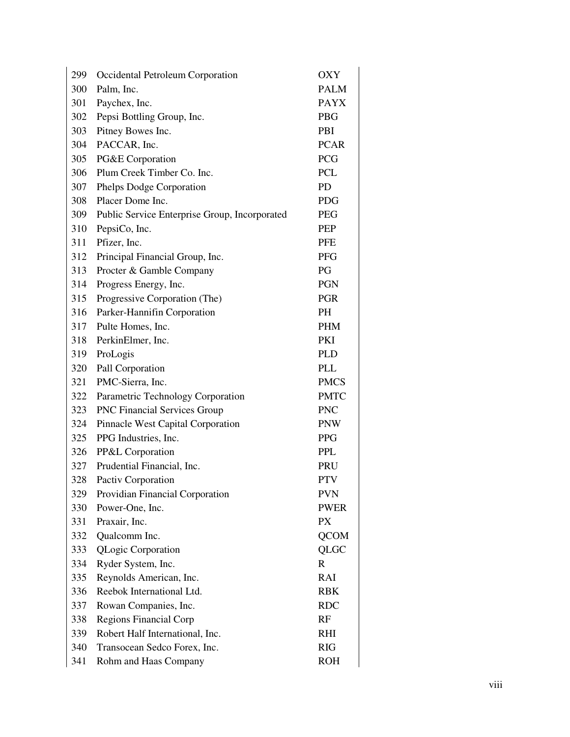| 299 | Occidental Petroleum Corporation              | <b>OXY</b>  |
|-----|-----------------------------------------------|-------------|
| 300 | Palm, Inc.                                    | <b>PALM</b> |
| 301 | Paychex, Inc.                                 | <b>PAYX</b> |
| 302 | Pepsi Bottling Group, Inc.                    | <b>PBG</b>  |
| 303 | Pitney Bowes Inc.                             | PBI         |
| 304 | PACCAR, Inc.                                  | <b>PCAR</b> |
| 305 | PG&E Corporation                              | <b>PCG</b>  |
| 306 | Plum Creek Timber Co. Inc.                    | <b>PCL</b>  |
| 307 | Phelps Dodge Corporation                      | PD          |
| 308 | Placer Dome Inc.                              | <b>PDG</b>  |
| 309 | Public Service Enterprise Group, Incorporated | <b>PEG</b>  |
| 310 | PepsiCo, Inc.                                 | PEP         |
| 311 | Pfizer, Inc.                                  | <b>PFE</b>  |
| 312 | Principal Financial Group, Inc.               | <b>PFG</b>  |
| 313 | Procter & Gamble Company                      | PG          |
| 314 | Progress Energy, Inc.                         | <b>PGN</b>  |
| 315 | Progressive Corporation (The)                 | <b>PGR</b>  |
| 316 | Parker-Hannifin Corporation                   | PH          |
| 317 | Pulte Homes, Inc.                             | <b>PHM</b>  |
| 318 | PerkinElmer, Inc.                             | <b>PKI</b>  |
| 319 | ProLogis                                      | <b>PLD</b>  |
| 320 | Pall Corporation                              | <b>PLL</b>  |
| 321 | PMC-Sierra, Inc.                              | <b>PMCS</b> |
| 322 | Parametric Technology Corporation             | <b>PMTC</b> |
| 323 | <b>PNC Financial Services Group</b>           | <b>PNC</b>  |
| 324 | Pinnacle West Capital Corporation             | <b>PNW</b>  |
| 325 | PPG Industries, Inc.                          | <b>PPG</b>  |
| 326 | PP&L Corporation                              | PPL         |
| 327 | Prudential Financial, Inc.                    | PRU         |
| 328 | Pactiv Corporation                            | <b>PTV</b>  |
| 329 | Providian Financial Corporation               | <b>PVN</b>  |
| 330 | Power-One, Inc.                               | <b>PWER</b> |
| 331 | Praxair, Inc.                                 | <b>PX</b>   |
| 332 | Qualcomm Inc.                                 | <b>QCOM</b> |
| 333 | <b>QLogic Corporation</b>                     | QLGC        |
| 334 | Ryder System, Inc.                            | $\mathbf R$ |
| 335 | Reynolds American, Inc.                       | RAI         |
| 336 | Reebok International Ltd.                     | <b>RBK</b>  |
| 337 | Rowan Companies, Inc.                         | <b>RDC</b>  |
| 338 | <b>Regions Financial Corp</b>                 | RF          |
| 339 | Robert Half International, Inc.               | <b>RHI</b>  |
| 340 | Transocean Sedco Forex, Inc.                  | <b>RIG</b>  |
| 341 | Rohm and Haas Company                         | <b>ROH</b>  |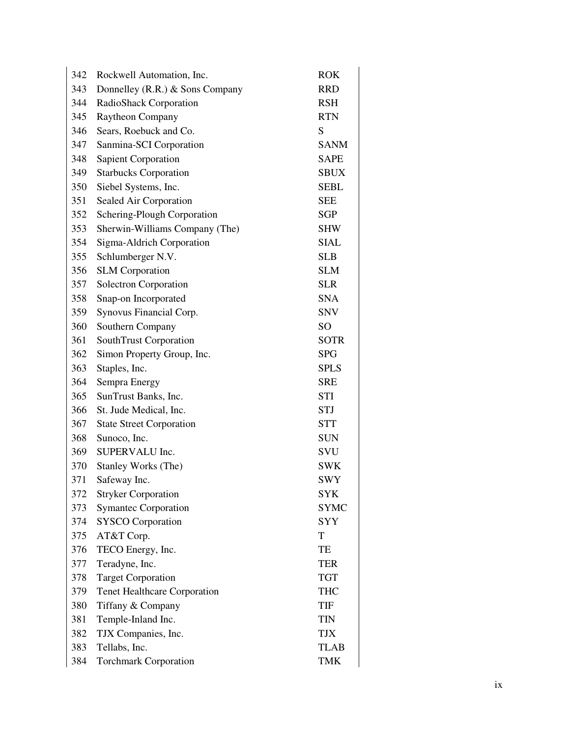| 342 | Rockwell Automation, Inc.           | <b>ROK</b>      |
|-----|-------------------------------------|-----------------|
| 343 | Donnelley (R.R.) & Sons Company     | <b>RRD</b>      |
| 344 | RadioShack Corporation              | <b>RSH</b>      |
| 345 | Raytheon Company                    | <b>RTN</b>      |
| 346 | Sears, Roebuck and Co.              | S               |
| 347 | Sanmina-SCI Corporation             | <b>SANM</b>     |
| 348 | <b>Sapient Corporation</b>          | <b>SAPE</b>     |
| 349 | <b>Starbucks Corporation</b>        | <b>SBUX</b>     |
| 350 | Siebel Systems, Inc.                | <b>SEBL</b>     |
| 351 | Sealed Air Corporation              | <b>SEE</b>      |
| 352 | Schering-Plough Corporation         | SGP             |
| 353 | Sherwin-Williams Company (The)      | <b>SHW</b>      |
| 354 | Sigma-Aldrich Corporation           | <b>SIAL</b>     |
| 355 | Schlumberger N.V.                   | <b>SLB</b>      |
| 356 | <b>SLM</b> Corporation              | <b>SLM</b>      |
| 357 | Solectron Corporation               | <b>SLR</b>      |
| 358 | Snap-on Incorporated                | <b>SNA</b>      |
| 359 | Synovus Financial Corp.             | <b>SNV</b>      |
| 360 | Southern Company                    | SO <sub>1</sub> |
| 361 | SouthTrust Corporation              | <b>SOTR</b>     |
| 362 | Simon Property Group, Inc.          | <b>SPG</b>      |
| 363 | Staples, Inc.                       | <b>SPLS</b>     |
| 364 | Sempra Energy                       | <b>SRE</b>      |
| 365 | SunTrust Banks, Inc.                | STI             |
| 366 | St. Jude Medical, Inc.              | <b>STJ</b>      |
| 367 | <b>State Street Corporation</b>     | <b>STT</b>      |
| 368 | Sunoco, Inc.                        | <b>SUN</b>      |
| 369 | SUPERVALU Inc.                      | SVU             |
| 370 | Stanley Works (The)                 | <b>SWK</b>      |
| 371 | Safeway Inc.                        | <b>SWY</b>      |
| 372 | <b>Stryker Corporation</b>          | <b>SYK</b>      |
| 373 | <b>Symantec Corporation</b>         | <b>SYMC</b>     |
| 374 | <b>SYSCO</b> Corporation            | <b>SYY</b>      |
| 375 | AT&T Corp.                          | T               |
| 376 | TECO Energy, Inc.                   | TE              |
| 377 | Teradyne, Inc.                      | <b>TER</b>      |
| 378 | <b>Target Corporation</b>           | <b>TGT</b>      |
| 379 | <b>Tenet Healthcare Corporation</b> | <b>THC</b>      |
| 380 | Tiffany & Company                   | TIF             |
| 381 | Temple-Inland Inc.                  | <b>TIN</b>      |
| 382 | TJX Companies, Inc.                 | <b>TJX</b>      |
| 383 | Tellabs, Inc.                       | <b>TLAB</b>     |
| 384 | <b>Torchmark Corporation</b>        | <b>TMK</b>      |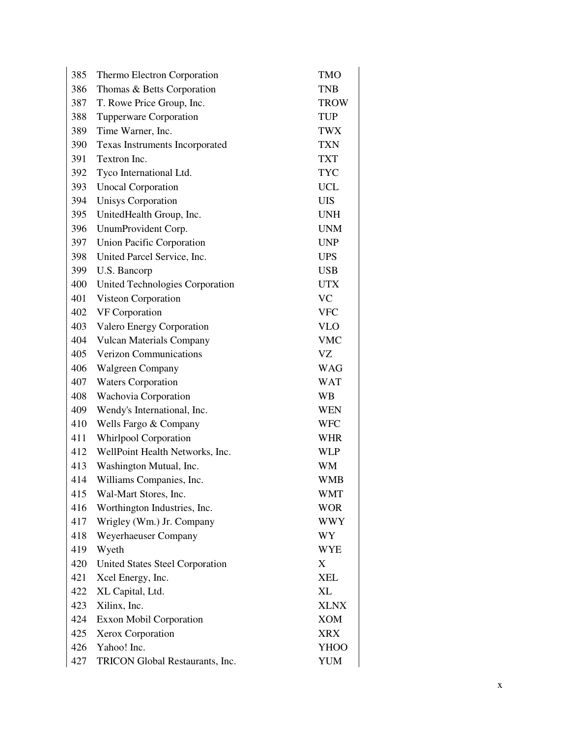| 385 | Thermo Electron Corporation      | <b>TMO</b>  |
|-----|----------------------------------|-------------|
| 386 | Thomas & Betts Corporation       | <b>TNB</b>  |
| 387 | T. Rowe Price Group, Inc.        | <b>TROW</b> |
| 388 | Tupperware Corporation           | <b>TUP</b>  |
| 389 | Time Warner, Inc.                | <b>TWX</b>  |
| 390 | Texas Instruments Incorporated   | <b>TXN</b>  |
| 391 | Textron Inc.                     | <b>TXT</b>  |
| 392 | Tyco International Ltd.          | <b>TYC</b>  |
| 393 | <b>Unocal Corporation</b>        | <b>UCL</b>  |
| 394 | <b>Unisys Corporation</b>        | <b>UIS</b>  |
| 395 | UnitedHealth Group, Inc.         | <b>UNH</b>  |
| 396 | UnumProvident Corp.              | <b>UNM</b>  |
| 397 | <b>Union Pacific Corporation</b> | <b>UNP</b>  |
| 398 | United Parcel Service, Inc.      | <b>UPS</b>  |
| 399 | U.S. Bancorp                     | <b>USB</b>  |
| 400 | United Technologies Corporation  | <b>UTX</b>  |
| 401 | Visteon Corporation              | <b>VC</b>   |
| 402 | VF Corporation                   | <b>VFC</b>  |
| 403 | Valero Energy Corporation        | <b>VLO</b>  |
| 404 | <b>Vulcan Materials Company</b>  | <b>VMC</b>  |
| 405 | <b>Verizon Communications</b>    | VZ          |
| 406 | Walgreen Company                 | <b>WAG</b>  |
| 407 | <b>Waters Corporation</b>        | <b>WAT</b>  |
| 408 | Wachovia Corporation             | WB          |
| 409 | Wendy's International, Inc.      | <b>WEN</b>  |
| 410 | Wells Fargo & Company            | <b>WFC</b>  |
| 411 | <b>Whirlpool Corporation</b>     | <b>WHR</b>  |
| 412 | WellPoint Health Networks, Inc.  | <b>WLP</b>  |
| 413 | Washington Mutual, Inc.          | WM          |
| 414 | Williams Companies, Inc.         | <b>WMB</b>  |
| 415 | Wal-Mart Stores, Inc.            | <b>WMT</b>  |
| 416 | Worthington Industries, Inc.     | <b>WOR</b>  |
| 417 | Wrigley (Wm.) Jr. Company        | <b>WWY</b>  |
| 418 | Weyerhaeuser Company             | WY          |
| 419 | Wyeth                            | <b>WYE</b>  |
| 420 | United States Steel Corporation  | X           |
| 421 | Xcel Energy, Inc.                | <b>XEL</b>  |
| 422 | XL Capital, Ltd.                 | XL          |
| 423 | Xilinx, Inc.                     | <b>XLNX</b> |
| 424 | <b>Exxon Mobil Corporation</b>   | XOM         |
| 425 | Xerox Corporation                | <b>XRX</b>  |
| 426 | Yahoo! Inc.                      | <b>YHOO</b> |
| 427 | TRICON Global Restaurants, Inc.  | YUM         |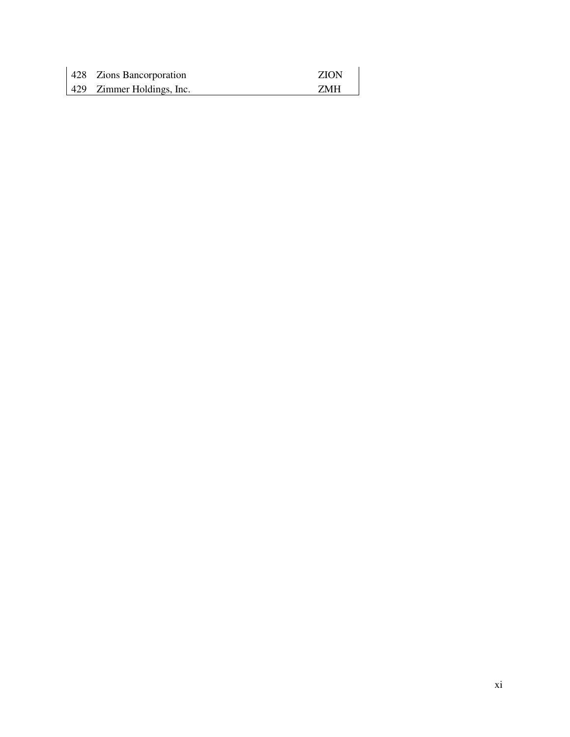| 428 Zions Bancorporation  | <b>ZION</b> |
|---------------------------|-------------|
| 429 Zimmer Holdings, Inc. | <b>ZMH</b>  |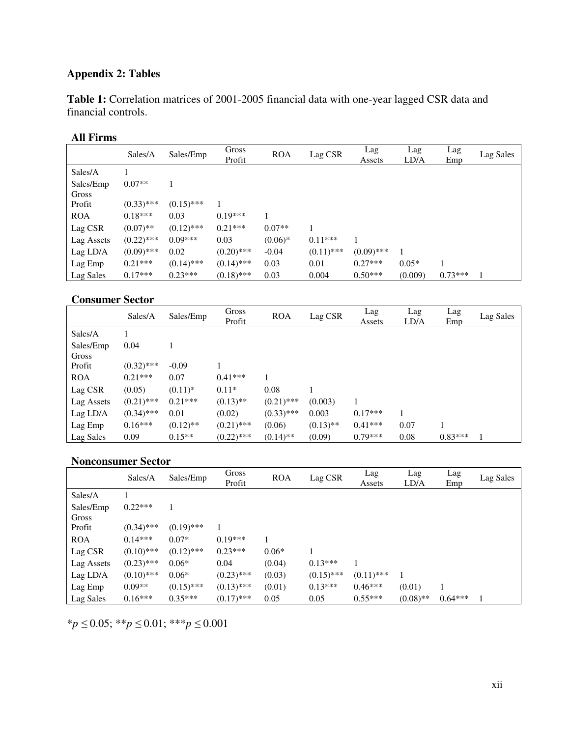# **Appendix 2: Tables**

**Table 1:** Correlation matrices of 2001-2005 financial data with one-year lagged CSR data and financial controls.

# **All Firms**

|            | Sales/A      | Sales/Emp    | Gross<br>Profit | <b>ROA</b> | Lag CSR      | Lag<br>Assets | Lag<br>LD/A | Lag<br>Emp | Lag Sales |
|------------|--------------|--------------|-----------------|------------|--------------|---------------|-------------|------------|-----------|
| Sales/A    |              |              |                 |            |              |               |             |            |           |
| Sales/Emp  | $0.07**$     |              |                 |            |              |               |             |            |           |
| Gross      |              |              |                 |            |              |               |             |            |           |
| Profit     | $(0.33)$ *** | $(0.15)$ *** |                 |            |              |               |             |            |           |
| <b>ROA</b> | $0.18***$    | 0.03         | $0.19***$       |            |              |               |             |            |           |
| Lag CSR    | $(0.07)$ **  | $(0.12)$ *** | $0.21***$       | $0.07**$   | 1            |               |             |            |           |
| Lag Assets | $(0.22)$ *** | $0.09***$    | 0.03            | $(0.06)*$  | $0.11***$    |               |             |            |           |
| Lag LD/A   | $(0.09)$ *** | 0.02         | $(0.20)$ ***    | $-0.04$    | $(0.11)$ *** | $(0.09)$ ***  |             |            |           |
| Lag Emp    | $0.21***$    | $(0.14)$ *** | $(0.14)$ ***    | 0.03       | 0.01         | $0.27***$     | $0.05*$     |            |           |
| Lag Sales  | $0.17***$    | $0.23***$    | $(0.18)$ ***    | 0.03       | 0.004        | $0.50***$     | (0.009)     | $0.73***$  |           |

#### **Consumer Sector**

|                    | Sales/A      | Sales/Emp   | Gross<br>Profit | <b>ROA</b>   | Lag CSR     | Lag<br>Assets | Lag<br>LD/A | Lag<br>Emp | Lag Sales |
|--------------------|--------------|-------------|-----------------|--------------|-------------|---------------|-------------|------------|-----------|
| Sales/A            |              |             |                 |              |             |               |             |            |           |
| Sales/Emp<br>Gross | 0.04         |             |                 |              |             |               |             |            |           |
| Profit             | $(0.32)$ *** | $-0.09$     |                 |              |             |               |             |            |           |
| <b>ROA</b>         | $0.21***$    | 0.07        | $0.41***$       |              |             |               |             |            |           |
| Lag CSR            | (0.05)       | $(0.11)^*$  | $0.11*$         | 0.08         |             |               |             |            |           |
| Lag Assets         | $(0.21)$ *** | $0.21***$   | $(0.13)$ **     | $(0.21)$ *** | (0.003)     |               |             |            |           |
| Lag LD/A           | $(0.34)$ *** | 0.01        | (0.02)          | $(0.33)$ *** | 0.003       | $0.17***$     |             |            |           |
| Lag Emp            | $0.16***$    | $(0.12)$ ** | $(0.21)$ ***    | (0.06)       | $(0.13)$ ** | $0.41***$     | 0.07        |            |           |
| Lag Sales          | 0.09         | $0.15**$    | $(0.22)$ ***    | $(0.14)$ **  | (0.09)      | $0.79***$     | 0.08        | $0.83***$  |           |

#### **Nonconsumer Sector**

|            | Sales/A      | Sales/Emp    | Gross<br>Profit | <b>ROA</b> | Lag CSR      | Lag<br>Assets | Lag<br>LD/A | Lag<br>Emp | Lag Sales |
|------------|--------------|--------------|-----------------|------------|--------------|---------------|-------------|------------|-----------|
| Sales/A    |              |              |                 |            |              |               |             |            |           |
| Sales/Emp  | $0.22***$    |              |                 |            |              |               |             |            |           |
| Gross      |              |              |                 |            |              |               |             |            |           |
| Profit     | $(0.34)$ *** | $(0.19)$ *** |                 |            |              |               |             |            |           |
| <b>ROA</b> | $0.14***$    | $0.07*$      | $0.19***$       |            |              |               |             |            |           |
| Lag CSR    | $(0.10)$ *** | $(0.12)$ *** | $0.23***$       | $0.06*$    |              |               |             |            |           |
| Lag Assets | $(0.23)$ *** | $0.06*$      | 0.04            | (0.04)     | $0.13***$    |               |             |            |           |
| Lag LD/A   | $(0.10)$ *** | $0.06*$      | $(0.23)$ ***    | (0.03)     | $(0.15)$ *** | $(0.11)$ ***  |             |            |           |
| Lag Emp    | $0.09**$     | $(0.15)$ *** | $(0.13)$ ***    | (0.01)     | $0.13***$    | $0.46***$     | (0.01)      |            |           |
| Lag Sales  | $0.16***$    | $0.35***$    | $(0.17)$ ***    | 0.05       | 0.05         | $0.55***$     | $(0.08)$ ** | $0.64***$  |           |

\**p* ≤ 0.05; \*\**p* ≤ 0.01; \*\*\**p* ≤ 0.001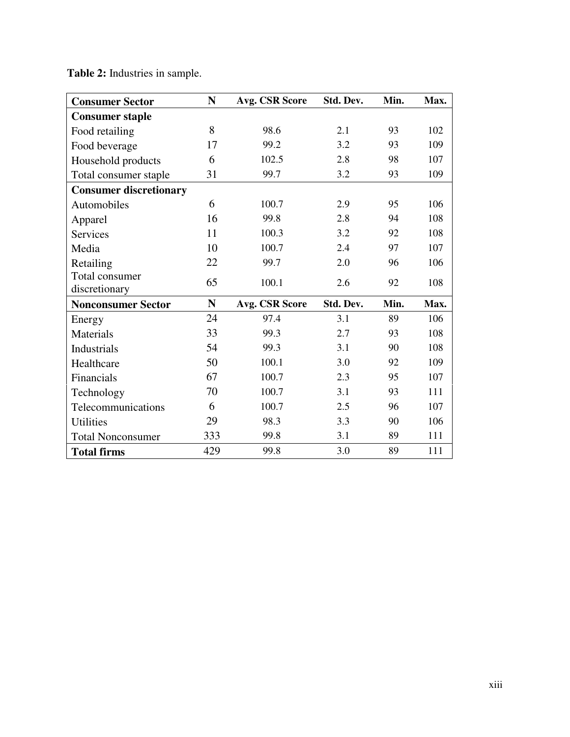| <b>Consumer Sector</b>        | N   | Avg. CSR Score | Std. Dev. | Min. | Max. |
|-------------------------------|-----|----------------|-----------|------|------|
| <b>Consumer staple</b>        |     |                |           |      |      |
| Food retailing                | 8   | 98.6           | 2.1       | 93   | 102  |
| Food beverage                 | 17  | 99.2           | 3.2       | 93   | 109  |
| Household products            | 6   | 102.5          | 2.8       | 98   | 107  |
| Total consumer staple         | 31  | 99.7           | 3.2       | 93   | 109  |
| <b>Consumer discretionary</b> |     |                |           |      |      |
| Automobiles                   | 6   | 100.7          | 2.9       | 95   | 106  |
| Apparel                       | 16  | 99.8           | 2.8       | 94   | 108  |
| Services                      | 11  | 100.3          | 3.2       | 92   | 108  |
| Media                         | 10  | 100.7          | 2.4       | 97   | 107  |
| Retailing                     | 22  | 99.7           | 2.0       | 96   | 106  |
| Total consumer                | 65  | 100.1          | 2.6       | 92   | 108  |
| discretionary                 |     |                |           |      |      |
| <b>Nonconsumer Sector</b>     | N   | Avg. CSR Score | Std. Dev. | Min. | Max. |
| Energy                        | 24  | 97.4           | 3.1       | 89   | 106  |
| Materials                     | 33  | 99.3           | 2.7       | 93   | 108  |
| Industrials                   | 54  | 99.3           | 3.1       | 90   | 108  |
| Healthcare                    | 50  | 100.1          | 3.0       | 92   | 109  |
| Financials                    | 67  | 100.7          | 2.3       | 95   | 107  |
| Technology                    | 70  | 100.7          | 3.1       | 93   | 111  |
| Telecommunications            | 6   | 100.7          | 2.5       | 96   | 107  |
| Utilities                     | 29  | 98.3           | 3.3       | 90   | 106  |
| <b>Total Nonconsumer</b>      | 333 | 99.8           | 3.1       | 89   | 111  |
| <b>Total firms</b>            | 429 | 99.8           | 3.0       | 89   | 111  |

**Table 2:** Industries in sample.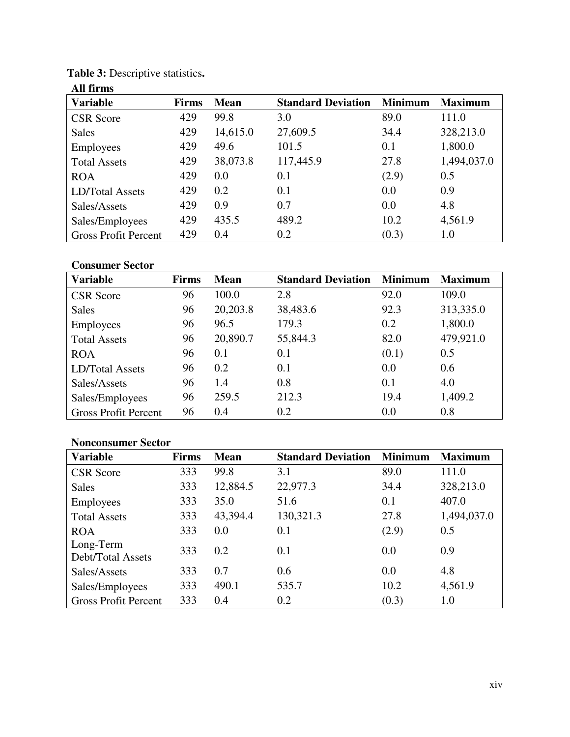| All firms                   |              |             |                           |                |                |
|-----------------------------|--------------|-------------|---------------------------|----------------|----------------|
| <b>Variable</b>             | <b>Firms</b> | <b>Mean</b> | <b>Standard Deviation</b> | <b>Minimum</b> | <b>Maximum</b> |
| <b>CSR</b> Score            | 429          | 99.8        | 3.0                       | 89.0           | 111.0          |
| <b>Sales</b>                | 429          | 14,615.0    | 27,609.5                  | 34.4           | 328,213.0      |
| <b>Employees</b>            | 429          | 49.6        | 101.5                     | 0.1            | 1,800.0        |
| <b>Total Assets</b>         | 429          | 38,073.8    | 117,445.9                 | 27.8           | 1,494,037.0    |
| <b>ROA</b>                  | 429          | 0.0         | 0.1                       | (2.9)          | 0.5            |
| <b>LD/Total Assets</b>      | 429          | 0.2         | 0.1                       | 0.0            | 0.9            |
| Sales/Assets                | 429          | 0.9         | 0.7                       | 0.0            | 4.8            |
| Sales/Employees             | 429          | 435.5       | 489.2                     | 10.2           | 4,561.9        |
| <b>Gross Profit Percent</b> | 429          | 0.4         | 0.2                       | (0.3)          | 1.0            |

# **Table 3:** Descriptive statistics**.**

# **Consumer Sector**

| <b>Variable</b>             | Firms | <b>Mean</b> | <b>Standard Deviation</b> | <b>Minimum</b> | <b>Maximum</b> |
|-----------------------------|-------|-------------|---------------------------|----------------|----------------|
| <b>CSR</b> Score            | 96    | 100.0       | 2.8                       | 92.0           | 109.0          |
| <b>Sales</b>                | 96    | 20,203.8    | 38,483.6                  | 92.3           | 313,335.0      |
| Employees                   | 96    | 96.5        | 179.3                     | 0.2            | 1,800.0        |
| <b>Total Assets</b>         | 96    | 20,890.7    | 55,844.3                  | 82.0           | 479,921.0      |
| <b>ROA</b>                  | 96    | 0.1         | 0.1                       | (0.1)          | 0.5            |
| LD/Total Assets             | 96    | 0.2         | 0.1                       | 0.0            | 0.6            |
| Sales/Assets                | 96    | 1.4         | 0.8                       | 0.1            | 4.0            |
| Sales/Employees             | 96    | 259.5       | 212.3                     | 19.4           | 1,409.2        |
| <b>Gross Profit Percent</b> | 96    | 0.4         | 0.2                       | 0.0            | 0.8            |

# **Nonconsumer Sector**

| <b>Variable</b>                | <b>Firms</b> | <b>Mean</b> | <b>Standard Deviation</b> | <b>Minimum</b> | <b>Maximum</b> |
|--------------------------------|--------------|-------------|---------------------------|----------------|----------------|
| <b>CSR</b> Score               | 333          | 99.8        | 3.1                       | 89.0           | 111.0          |
| <b>Sales</b>                   | 333          | 12,884.5    | 22,977.3                  | 34.4           | 328,213.0      |
| Employees                      | 333          | 35.0        | 51.6                      | 0.1            | 407.0          |
| <b>Total Assets</b>            | 333          | 43,394.4    | 130,321.3                 | 27.8           | 1,494,037.0    |
| <b>ROA</b>                     | 333          | 0.0         | 0.1                       | (2.9)          | 0.5            |
| Long-Term<br>Debt/Total Assets | 333          | 0.2         | 0.1                       | 0.0            | 0.9            |
| Sales/Assets                   | 333          | 0.7         | 0.6                       | 0.0            | 4.8            |
| Sales/Employees                | 333          | 490.1       | 535.7                     | 10.2           | 4,561.9        |
| <b>Gross Profit Percent</b>    | 333          | 0.4         | 0.2                       | (0.3)          | 1.0            |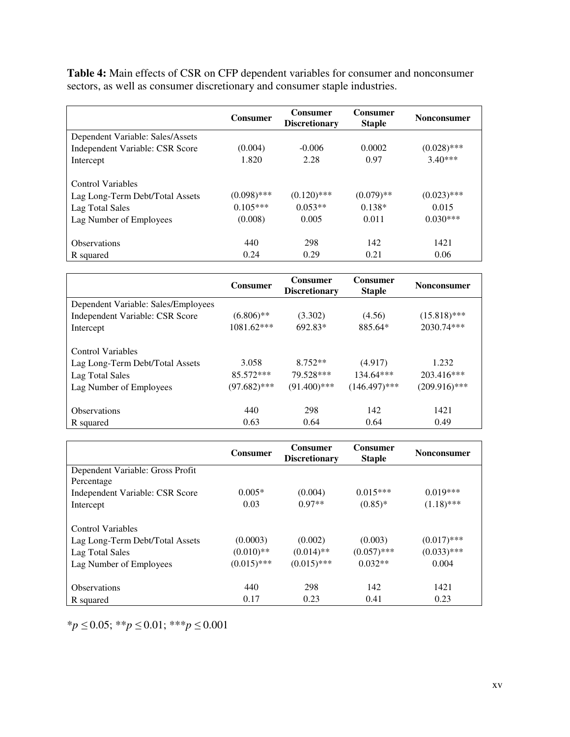**Table 4:** Main effects of CSR on CFP dependent variables for consumer and nonconsumer sectors, as well as consumer discretionary and consumer staple industries.

|                                  | <b>Consumer</b> | <b>Consumer</b><br><b>Discretionary</b> | <b>Consumer</b><br><b>Staple</b> | <b>Nonconsumer</b> |
|----------------------------------|-----------------|-----------------------------------------|----------------------------------|--------------------|
| Dependent Variable: Sales/Assets |                 |                                         |                                  |                    |
| Independent Variable: CSR Score  | (0.004)         | $-0.006$                                | 0.0002                           | $(0.028)$ ***      |
| Intercept                        | 1.820           | 2.28                                    | 0.97                             | $3.40***$          |
|                                  |                 |                                         |                                  |                    |
| Control Variables                |                 |                                         |                                  |                    |
| Lag Long-Term Debt/Total Assets  | $(0.098)$ ***   | $(0.120)$ ***                           | $(0.079)$ **                     | $(0.023)$ ***      |
| Lag Total Sales                  | $0.105***$      | $0.053**$                               | $0.138*$                         | 0.015              |
| Lag Number of Employees          | (0.008)         | 0.005                                   | 0.011                            | $0.030***$         |
|                                  |                 |                                         |                                  |                    |
| <b>Observations</b>              | 440             | 298                                     | 142                              | 1421               |
| R squared                        | 0.24            | 0.29                                    | 0.21                             | 0.06               |

|                                     | <b>Consumer</b> | <b>Consumer</b><br><b>Discretionary</b> | <b>Consumer</b><br><b>Staple</b> | <b>Nonconsumer</b> |
|-------------------------------------|-----------------|-----------------------------------------|----------------------------------|--------------------|
| Dependent Variable: Sales/Employees |                 |                                         |                                  |                    |
| Independent Variable: CSR Score     | $(6.806)$ **    | (3.302)                                 | (4.56)                           | $(15.818)$ ***     |
| Intercept                           | 1081.62***      | 692.83*                                 | 885.64*                          | 2030.74***         |
|                                     |                 |                                         |                                  |                    |
| <b>Control Variables</b>            |                 |                                         |                                  |                    |
| Lag Long-Term Debt/Total Assets     | 3.058           | $8.752**$                               | (4.917)                          | 1.232              |
| Lag Total Sales                     | 85.572***       | 79.528***                               | $134.64***$                      | $203.416***$       |
| Lag Number of Employees             | $(97.682)$ ***  | $(91.400)$ ***                          | $(146.497)$ ***                  | $(209.916)$ ***    |
|                                     |                 |                                         |                                  |                    |
| <b>Observations</b>                 | 440             | 298                                     | 142                              | 1421               |
| R squared                           | 0.63            | 0.64                                    | 0.64                             | 0.49               |

|                                                                                                           | <b>Consumer</b>                          | <b>Consumer</b><br><b>Discretionary</b>  | <b>Consumer</b><br><b>Staple</b>      | <b>Nonconsumer</b>                      |
|-----------------------------------------------------------------------------------------------------------|------------------------------------------|------------------------------------------|---------------------------------------|-----------------------------------------|
| Dependent Variable: Gross Profit                                                                          |                                          |                                          |                                       |                                         |
| Percentage                                                                                                |                                          |                                          |                                       |                                         |
| Independent Variable: CSR Score                                                                           | $0.005*$                                 | (0.004)                                  | $0.015***$                            | $0.019***$                              |
| Intercept                                                                                                 | 0.03                                     | $0.97**$                                 | $(0.85)$ *                            | $(1.18)$ ***                            |
| <b>Control Variables</b><br>Lag Long-Term Debt/Total Assets<br>Lag Total Sales<br>Lag Number of Employees | (0.0003)<br>$(0.010)**$<br>$(0.015)$ *** | (0.002)<br>$(0.014)$ **<br>$(0.015)$ *** | (0.003)<br>$(0.057)$ ***<br>$0.032**$ | $(0.017)$ ***<br>$(0.033)$ ***<br>0.004 |
| <b>Observations</b>                                                                                       | 440                                      | 298                                      | 142                                   | 1421                                    |
| R squared                                                                                                 | 0.17                                     | 0.23                                     | 0.41                                  | 0.23                                    |

\**p* ≤ 0.05; \*\**p* ≤ 0.01; \*\*\**p* ≤ 0.001